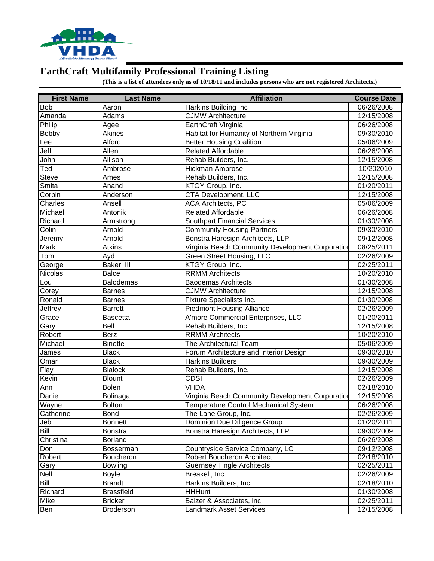

## **EarthCraft Multifamily Professional Training Listing**

**(This is a list of attendees only as of 10/18/11 and includes persons who are not registered Architects.)**

| <b>First Name</b> | <b>Last Name</b>  | <b>Affiliation</b>                               | <b>Course Date</b> |
|-------------------|-------------------|--------------------------------------------------|--------------------|
| <b>Bob</b>        | Aaron             | Harkins Building Inc                             | 06/26/2008         |
| Amanda            | Adams             | <b>CJMW Architecture</b>                         | 12/15/2008         |
| Philip            | Agee              | EarthCraft Virginia                              | 06/26/2008         |
| <b>Bobby</b>      | Akines            | Habitat for Humanity of Northern Virginia        | 09/30/2010         |
| Lee               | Alford            | <b>Better Housing Coalition</b>                  | 05/06/2009         |
| Jeff              | Allen             | <b>Related Affordable</b>                        | 06/26/2008         |
| John              | Allison           | Rehab Builders, Inc.                             | 12/15/2008         |
| Ted               | Ambrose           | Hickman Ambrose                                  | 10/202010          |
| <b>Steve</b>      | Ames              | Rehab Builders, Inc.                             | 12/15/2008         |
| Smita             | Anand             | KTGY Group, Inc.                                 | 01/20/2011         |
| Corbin            | Anderson          | CTA Development, LLC                             | 12/15/2008         |
| Charles           | Ansell            | <b>ACA Architects, PC</b>                        | 05/06/2009         |
| Michael           | Antonik           | <b>Related Affordable</b>                        | 06/26/2008         |
| Richard           | Armstrong         | <b>Southpart Financial Services</b>              | 01/30/2008         |
| Colin             | Arnold            | <b>Community Housing Partners</b>                | 09/30/2010         |
| Jeremy            | Arnold            | Bonstra Haresign Architects, LLP                 | 09/12/2008         |
| Mark              | <b>Atkins</b>     | Virginia Beach Community Development Corporation | 08/25/2011         |
| Tom               | Ayd               | Green Street Housing, LLC                        | 02/26/2009         |
| George            | Baker, III        | KTGY Group, Inc.                                 | 02/25/2011         |
| Nicolas           | <b>Balce</b>      | <b>RRMM Architects</b>                           | 10/20/2010         |
| Lou               | Balodemas         | <b>Baodemas Architects</b>                       | 01/30/2008         |
| Corey             | Barnes            | <b>CJMW Architecture</b>                         | 12/15/2008         |
| Ronald            | Barnes            | <b>Fixture Specialists Inc.</b>                  | 01/30/2008         |
| Jeffrey           | Barrett           | <b>Piedmont Housing Alliance</b>                 | 02/26/2009         |
| Grace             | Bascetta          | A'more Commercial Enterprises, LLC               | 01/20/2011         |
| Gary              | Bell              | Rehab Builders, Inc.                             | 12/15/2008         |
| Robert            | Berz              | <b>RRMM</b> Architects                           | 10/20/2010         |
| Michael           | <b>Binette</b>    | The Architectural Team                           | 05/06/2009         |
| James             | <b>Black</b>      | Forum Architecture and Interior Design           | 09/30/2010         |
| Omar              | <b>Black</b>      | <b>Harkins Builders</b>                          | 09/30/2009         |
| Flay              | <b>Blalock</b>    | Rehab Builders, Inc.                             | 12/15/2008         |
| Kevin             | <b>Blount</b>     | <b>CDSI</b>                                      | 02/26/2009         |
| Ann               | <b>Bolen</b>      | <b>VHDA</b>                                      | 02/18/2010         |
| Daniel            | Bolinaga          | Virginia Beach Community Development Corporatio  | 12/15/2008         |
| Wayne             | <b>Bolton</b>     | Temperature Control Mechanical System            | 06/26/2008         |
| Catherine         | <b>Bond</b>       | The Lane Group, Inc.                             | 02/26/2009         |
| Jeb               | <b>Bonnett</b>    | Dominion Due Diligence Group                     | 01/20/2011         |
| <b>Bill</b>       | Bonstra           | Bonstra Haresign Architects, LLP                 | 09/30/2009         |
| Christina         | <b>Borland</b>    |                                                  | 06/26/2008         |
| Don               | Bosserman         | Countryside Service Company, LC                  | 09/12/2008         |
| Robert            | Boucheron         | <b>Robert Boucheron Architect</b>                | 02/18/2010         |
| Gary              | <b>Bowling</b>    | <b>Guernsey Tingle Architects</b>                | 02/25/2011         |
| Nell              | <b>Boyle</b>      | Breakell, Inc.                                   | 02/26/2009         |
| <b>Bill</b>       | <b>Brandt</b>     | Harkins Builders, Inc.                           | 02/18/2010         |
| Richard           | <b>Brassfield</b> | <b>HHHunt</b>                                    | 01/30/2008         |
| Mike              | <b>Bricker</b>    | Balzer & Associates, inc.                        | 02/25/2011         |
| Ben               | <b>Broderson</b>  | <b>Landmark Asset Services</b>                   | 12/15/2008         |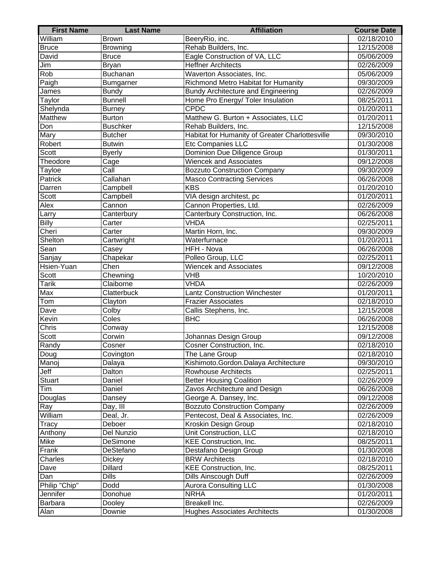| <b>First Name</b> | <b>Last Name</b> | <b>Affiliation</b>                              | <b>Course Date</b>      |
|-------------------|------------------|-------------------------------------------------|-------------------------|
| William           | <b>Brown</b>     | BeeryRio, inc.                                  | 02/18/2010              |
| <b>Bruce</b>      | Browning         | Rehab Builders, Inc.                            | 12/15/2008              |
| David             | <b>Bruce</b>     | Eagle Construction of VA, LLC                   | 05/06/2009              |
| Jim               | <b>Bryan</b>     | <b>Heffner Architects</b>                       | 02/26/2009              |
| <b>Rob</b>        | Buchanan         | Waverton Associates, Inc.                       | 05/06/2009              |
| Paigh             | Bumgarner        | Richmond Metro Habitat for Humanity             | 09/30/2009              |
| James             | Bundy            | <b>Bundy Architecture and Engineering</b>       | 02/26/2009              |
| Taylor            | <b>Bunnell</b>   | Home Pro Energy/ Toler Insulation               | 08/25/2011              |
| Shelynda          | <b>Burney</b>    | <b>CPDC</b>                                     | 01/20/2011              |
| Matthew           | Burton           | Matthew G. Burton + Associates, LLC             | 01/20/2011              |
| Don               | <b>Buschker</b>  | Rehab Builders, Inc.                            | 12/15/2008              |
| Mary              | <b>Butcher</b>   | Habitat for Humanity of Greater Charlottesville | 09/30/2010              |
| Robert            | <b>Butwin</b>    | Etc Companies LLC                               | 01/30/2008              |
| Scott             | <b>Byerly</b>    | Dominion Due Diligence Group                    | 01/30/2011              |
| Theodore          | Cage             | <b>Wiencek and Associates</b>                   | 09/12/2008              |
| Tayloe            | Call             | <b>Bozzuto Construction Company</b>             | 09/30/2009              |
| Patrick           | Callahan         | <b>Masco Contracting Services</b>               | 06/26/2008              |
| Darren            | Campbell         | <b>KBS</b>                                      | 01/20/2010              |
| Scott             | Campbell         | VIA design architest, pc                        | 01/20/2011              |
| Alex              | Cannon           | Cannon Properties, Ltd.                         | 02/26/2009              |
| Larry             | Canterbury       | Canterbury Construction, Inc.                   | 06/26/2008              |
| <b>Billy</b>      | Carter           | <b>VHDA</b>                                     | 02/25/2011              |
| Cheri             | Carter           | Martin Horn, Inc.                               | 09/30/2009              |
| Shelton           | Cartwright       | Waterfurnace                                    | 01/20/2011              |
| Sean              | Casey            | <b>HFH - Nova</b>                               | 06/26/2008              |
| Sanjay            | Chapekar         | Polleo Group, LLC                               | 02/25/2011              |
| Hsien-Yuan        | Chen             | <b>Wiencek and Associates</b>                   | 09/12/2008              |
| Scott             | Chewning         | VHB                                             | 10/20/2010              |
| <b>Tarik</b>      | Claiborne        | <b>VHDA</b>                                     | 02/26/2009              |
| Max               | Clatterbuck      | <b>Lantz Construction Winchester</b>            | 01/20/2011              |
| Tom               | Clayton          | <b>Frazier Associates</b>                       | 02/18/2010              |
| Dave              | Colby            | Callis Stephens, Inc.                           | 12/15/2008              |
| Kevin             | Coles            | <b>BHC</b>                                      | 06/26/2008              |
| Chris             | Conway           |                                                 | 12/15/2008              |
| Scott             | Corwin           | Johannas Design Group                           | 09/12/2008              |
| Randy             | Cosner           | Cosner Construction, Inc.                       | 02/18/2010              |
| Doug              | Covington        | The Lane Group                                  | 02/18/2010              |
| Manoj             | Dalaya           | Kishimoto.Gordon.Dalaya Architecture            | 09/30/2010              |
| $J$ eff           | Dalton           | <b>Rowhouse Architects</b>                      | 02/25/2011              |
| <b>Stuart</b>     | Daniel           | <b>Better Housing Coalition</b>                 | 02/26/2009              |
| Tim               | Daniel           | Zavos Architecture and Design                   | 06/26/2008              |
| Douglas           | Dansey           | George A. Dansey, Inc.                          | $\overline{09/12/2008}$ |
| Ray               | Day, III         | <b>Bozzuto Construction Company</b>             | 02/26/2009              |
| William           | Deal, Jr.        | Pentecost, Deal & Associates, Inc.              | 02/26/2009              |
| <b>Tracy</b>      | Deboer           | Kroskin Design Group                            | 02/18/2010              |
| Anthony           | Del Nunzio       | Unit Construction, LLC                          | $\overline{02/18/2010}$ |
| Mike              | DeSimone         | KEE Construction, Inc.                          | 08/25/2011              |
| Frank             | DeStefano        | Destafano Design Group                          | 01/30/2008              |
| Charles           | <b>Dickey</b>    | <b>BRW Architects</b>                           | 02/18/2010              |
| Dave              | <b>Dillard</b>   | KEE Construction, Inc.                          | 08/25/2011              |
| Dan               | <b>Dills</b>     | <b>Dills Ainscough Duff</b>                     | 02/26/2009              |
| Philip "Chip"     | Dodd             | <b>Aurora Consulting LLC</b>                    | 01/30/2008              |
| Jennifer          | Donohue          | <b>NRHA</b>                                     | 01/20/2011              |
| Barbara           | Dooley           | Breakell Inc.                                   | 02/26/2009              |
| Alan              | Downie           | <b>Hughes Associates Architects</b>             | 01/30/2008              |
|                   |                  |                                                 |                         |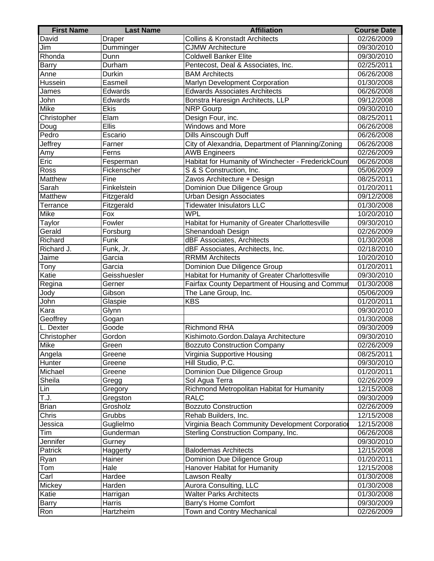| <b>Collins &amp; Kronstadt Architects</b><br>David<br><b>Draper</b><br>02/26/2009<br>Dumminger<br><b>CJMW Architecture</b><br>09/30/2010<br>Jim<br>Rhonda<br>Dunn<br><b>Coldwell Banker Elite</b><br>09/30/2010<br>Durham<br>Pentecost, Deal & Associates, Inc.<br><b>Barry</b><br>02/25/2011<br><b>BAM Architects</b><br>06/26/2008<br>Anne<br>Durkin<br>Marlyn Development Corporation<br>Hussein<br>Easmeil<br>01/30/2008<br><b>Edwards Associates Architects</b><br>Edwards<br>06/26/2008<br>James<br>John<br>Bonstra Haresign Architects, LLP<br>09/12/2008<br>Edwards<br>Mike<br>Ekis<br><b>NRP</b> Gourp<br>09/30/2010<br>Elam<br>Design Four, inc.<br>Christopher<br>08/25/2011<br><b>Ellis</b><br>Windows and More<br>06/26/2008<br>Doug<br>Pedro<br>Escario<br>Dills Ainscough Duff<br>06/26/2008<br>Jeffrey<br>City of Alexandria, Department of Planning/Zoning<br>06/26/2008<br>Farner<br>Amy<br>Ferns<br><b>AWB Engineers</b><br>02/26/2009<br>Eric<br>Habitat for Humanity of Winchecter - FrederickCoun<br>06/26/2008<br>Fesperman<br>Ross<br>Fickenscher<br>05/06/2009<br>S & S Construction, Inc.<br>Matthew<br>Fine<br>Zavos Architecture + Design<br>08/25/2011<br>Sarah<br>Finkelstein<br>Dominion Due Diligence Group<br>01/20/2011<br>Fitzgerald<br><b>Urban Design Associates</b><br>Matthew<br>09/12/2008<br>Fitzgerald<br><b>Tidewater Inisulators LLC</b><br>Terrance<br>01/30/2008<br><b>WPL</b><br>Mike<br>Fox<br>10/20/2010<br>Fowler<br>Habitat for Humanity of Greater Charlottesville<br>09/30/2010<br>Taylor<br>Gerald<br>Forsburg<br>Shenandoah Design<br>02/26/2009<br>Funk<br>dBF Associates, Architects<br>Richard<br>01/30/2008<br>dBF Associates, Architects, Inc.<br>02/18/2010<br>Richard J.<br>Funk, Jr.<br>Garcia<br><b>RRMM</b> Architects<br>Jaime<br>10/20/2010<br>Garcia<br>Dominion Due Diligence Group<br>01/20/2011<br>Tony<br>Habitat for Humanity of Greater Charlottesville<br>Katie<br>Geisshuesler<br>09/30/2010<br>Fairfax County Department of Housing and Commur<br>Gerner<br>01/30/2008<br>Regina<br>Gibson<br>The Lane Group, Inc.<br>05/06/2009<br>Jody<br><b>KBS</b><br>John<br>01/20/2011<br>Glaspie<br>Kara<br>09/30/2010<br>Glynn<br>Geoffrey<br>Gogan<br>01/30/2008<br>Goode<br><b>Richmond RHA</b><br>09/30/2009<br>L. Dexter<br>Gordon<br>Christopher<br>Kishimoto.Gordon.Dalaya Architecture<br>09/30/2010<br><b>Mike</b><br>Green<br><b>Bozzuto Construction Company</b><br>02/26/2009<br>Greene<br>Virginia Supportive Housing<br>08/25/2011<br>Angela<br>Hill Studio, P.C.<br>Hunter<br>09/30/2010<br>Greene<br>Michael<br>Dominion Due Diligence Group<br>01/20/2011<br>Greene<br>Sheila<br>Sol Agua Terra<br>02/26/2009<br>Gregg<br>Richmond Metropolitan Habitat for Humanity<br>12/15/2008<br>Gregory<br>Lin<br><b>RALC</b><br>T.J.<br>Gregston<br>09/30/2009<br>Brian<br>Grosholz<br><b>Bozzuto Construction</b><br>02/26/2009<br>Chris<br>Grubbs<br>Rehab Builders, Inc.<br>12/15/2008<br>Guglielmo<br>Virginia Beach Community Development Corporation<br>12/15/2008<br>Jessica<br>Gunderman<br>Sterling Construction Company, Inc.<br>06/26/2008<br>Tim<br>Jennifer<br>09/30/2010<br>Gurney<br>Patrick<br><b>Balodemas Architects</b><br>12/15/2008<br>Haggerty<br>Hainer<br>Dominion Due Diligence Group<br>01/20/2011<br>Ryan | <b>First Name</b> | <b>Last Name</b> | <b>Affiliation</b>           | <b>Course Date</b> |
|------------------------------------------------------------------------------------------------------------------------------------------------------------------------------------------------------------------------------------------------------------------------------------------------------------------------------------------------------------------------------------------------------------------------------------------------------------------------------------------------------------------------------------------------------------------------------------------------------------------------------------------------------------------------------------------------------------------------------------------------------------------------------------------------------------------------------------------------------------------------------------------------------------------------------------------------------------------------------------------------------------------------------------------------------------------------------------------------------------------------------------------------------------------------------------------------------------------------------------------------------------------------------------------------------------------------------------------------------------------------------------------------------------------------------------------------------------------------------------------------------------------------------------------------------------------------------------------------------------------------------------------------------------------------------------------------------------------------------------------------------------------------------------------------------------------------------------------------------------------------------------------------------------------------------------------------------------------------------------------------------------------------------------------------------------------------------------------------------------------------------------------------------------------------------------------------------------------------------------------------------------------------------------------------------------------------------------------------------------------------------------------------------------------------------------------------------------------------------------------------------------------------------------------------------------------------------------------------------------------------------------------------------------------------------------------------------------------------------------------------------------------------------------------------------------------------------------------------------------------------------------------------------------------------------------------------------------------------------------------------------------------------------------------------------------------------------------------------------------------------------------------------------------------------------------------------------------------------------------------------------------------------------------------------------------------|-------------------|------------------|------------------------------|--------------------|
|                                                                                                                                                                                                                                                                                                                                                                                                                                                                                                                                                                                                                                                                                                                                                                                                                                                                                                                                                                                                                                                                                                                                                                                                                                                                                                                                                                                                                                                                                                                                                                                                                                                                                                                                                                                                                                                                                                                                                                                                                                                                                                                                                                                                                                                                                                                                                                                                                                                                                                                                                                                                                                                                                                                                                                                                                                                                                                                                                                                                                                                                                                                                                                                                                                                                                                                  |                   |                  |                              |                    |
|                                                                                                                                                                                                                                                                                                                                                                                                                                                                                                                                                                                                                                                                                                                                                                                                                                                                                                                                                                                                                                                                                                                                                                                                                                                                                                                                                                                                                                                                                                                                                                                                                                                                                                                                                                                                                                                                                                                                                                                                                                                                                                                                                                                                                                                                                                                                                                                                                                                                                                                                                                                                                                                                                                                                                                                                                                                                                                                                                                                                                                                                                                                                                                                                                                                                                                                  |                   |                  |                              |                    |
|                                                                                                                                                                                                                                                                                                                                                                                                                                                                                                                                                                                                                                                                                                                                                                                                                                                                                                                                                                                                                                                                                                                                                                                                                                                                                                                                                                                                                                                                                                                                                                                                                                                                                                                                                                                                                                                                                                                                                                                                                                                                                                                                                                                                                                                                                                                                                                                                                                                                                                                                                                                                                                                                                                                                                                                                                                                                                                                                                                                                                                                                                                                                                                                                                                                                                                                  |                   |                  |                              |                    |
|                                                                                                                                                                                                                                                                                                                                                                                                                                                                                                                                                                                                                                                                                                                                                                                                                                                                                                                                                                                                                                                                                                                                                                                                                                                                                                                                                                                                                                                                                                                                                                                                                                                                                                                                                                                                                                                                                                                                                                                                                                                                                                                                                                                                                                                                                                                                                                                                                                                                                                                                                                                                                                                                                                                                                                                                                                                                                                                                                                                                                                                                                                                                                                                                                                                                                                                  |                   |                  |                              |                    |
|                                                                                                                                                                                                                                                                                                                                                                                                                                                                                                                                                                                                                                                                                                                                                                                                                                                                                                                                                                                                                                                                                                                                                                                                                                                                                                                                                                                                                                                                                                                                                                                                                                                                                                                                                                                                                                                                                                                                                                                                                                                                                                                                                                                                                                                                                                                                                                                                                                                                                                                                                                                                                                                                                                                                                                                                                                                                                                                                                                                                                                                                                                                                                                                                                                                                                                                  |                   |                  |                              |                    |
|                                                                                                                                                                                                                                                                                                                                                                                                                                                                                                                                                                                                                                                                                                                                                                                                                                                                                                                                                                                                                                                                                                                                                                                                                                                                                                                                                                                                                                                                                                                                                                                                                                                                                                                                                                                                                                                                                                                                                                                                                                                                                                                                                                                                                                                                                                                                                                                                                                                                                                                                                                                                                                                                                                                                                                                                                                                                                                                                                                                                                                                                                                                                                                                                                                                                                                                  |                   |                  |                              |                    |
|                                                                                                                                                                                                                                                                                                                                                                                                                                                                                                                                                                                                                                                                                                                                                                                                                                                                                                                                                                                                                                                                                                                                                                                                                                                                                                                                                                                                                                                                                                                                                                                                                                                                                                                                                                                                                                                                                                                                                                                                                                                                                                                                                                                                                                                                                                                                                                                                                                                                                                                                                                                                                                                                                                                                                                                                                                                                                                                                                                                                                                                                                                                                                                                                                                                                                                                  |                   |                  |                              |                    |
|                                                                                                                                                                                                                                                                                                                                                                                                                                                                                                                                                                                                                                                                                                                                                                                                                                                                                                                                                                                                                                                                                                                                                                                                                                                                                                                                                                                                                                                                                                                                                                                                                                                                                                                                                                                                                                                                                                                                                                                                                                                                                                                                                                                                                                                                                                                                                                                                                                                                                                                                                                                                                                                                                                                                                                                                                                                                                                                                                                                                                                                                                                                                                                                                                                                                                                                  |                   |                  |                              |                    |
|                                                                                                                                                                                                                                                                                                                                                                                                                                                                                                                                                                                                                                                                                                                                                                                                                                                                                                                                                                                                                                                                                                                                                                                                                                                                                                                                                                                                                                                                                                                                                                                                                                                                                                                                                                                                                                                                                                                                                                                                                                                                                                                                                                                                                                                                                                                                                                                                                                                                                                                                                                                                                                                                                                                                                                                                                                                                                                                                                                                                                                                                                                                                                                                                                                                                                                                  |                   |                  |                              |                    |
|                                                                                                                                                                                                                                                                                                                                                                                                                                                                                                                                                                                                                                                                                                                                                                                                                                                                                                                                                                                                                                                                                                                                                                                                                                                                                                                                                                                                                                                                                                                                                                                                                                                                                                                                                                                                                                                                                                                                                                                                                                                                                                                                                                                                                                                                                                                                                                                                                                                                                                                                                                                                                                                                                                                                                                                                                                                                                                                                                                                                                                                                                                                                                                                                                                                                                                                  |                   |                  |                              |                    |
|                                                                                                                                                                                                                                                                                                                                                                                                                                                                                                                                                                                                                                                                                                                                                                                                                                                                                                                                                                                                                                                                                                                                                                                                                                                                                                                                                                                                                                                                                                                                                                                                                                                                                                                                                                                                                                                                                                                                                                                                                                                                                                                                                                                                                                                                                                                                                                                                                                                                                                                                                                                                                                                                                                                                                                                                                                                                                                                                                                                                                                                                                                                                                                                                                                                                                                                  |                   |                  |                              |                    |
|                                                                                                                                                                                                                                                                                                                                                                                                                                                                                                                                                                                                                                                                                                                                                                                                                                                                                                                                                                                                                                                                                                                                                                                                                                                                                                                                                                                                                                                                                                                                                                                                                                                                                                                                                                                                                                                                                                                                                                                                                                                                                                                                                                                                                                                                                                                                                                                                                                                                                                                                                                                                                                                                                                                                                                                                                                                                                                                                                                                                                                                                                                                                                                                                                                                                                                                  |                   |                  |                              |                    |
|                                                                                                                                                                                                                                                                                                                                                                                                                                                                                                                                                                                                                                                                                                                                                                                                                                                                                                                                                                                                                                                                                                                                                                                                                                                                                                                                                                                                                                                                                                                                                                                                                                                                                                                                                                                                                                                                                                                                                                                                                                                                                                                                                                                                                                                                                                                                                                                                                                                                                                                                                                                                                                                                                                                                                                                                                                                                                                                                                                                                                                                                                                                                                                                                                                                                                                                  |                   |                  |                              |                    |
|                                                                                                                                                                                                                                                                                                                                                                                                                                                                                                                                                                                                                                                                                                                                                                                                                                                                                                                                                                                                                                                                                                                                                                                                                                                                                                                                                                                                                                                                                                                                                                                                                                                                                                                                                                                                                                                                                                                                                                                                                                                                                                                                                                                                                                                                                                                                                                                                                                                                                                                                                                                                                                                                                                                                                                                                                                                                                                                                                                                                                                                                                                                                                                                                                                                                                                                  |                   |                  |                              |                    |
|                                                                                                                                                                                                                                                                                                                                                                                                                                                                                                                                                                                                                                                                                                                                                                                                                                                                                                                                                                                                                                                                                                                                                                                                                                                                                                                                                                                                                                                                                                                                                                                                                                                                                                                                                                                                                                                                                                                                                                                                                                                                                                                                                                                                                                                                                                                                                                                                                                                                                                                                                                                                                                                                                                                                                                                                                                                                                                                                                                                                                                                                                                                                                                                                                                                                                                                  |                   |                  |                              |                    |
|                                                                                                                                                                                                                                                                                                                                                                                                                                                                                                                                                                                                                                                                                                                                                                                                                                                                                                                                                                                                                                                                                                                                                                                                                                                                                                                                                                                                                                                                                                                                                                                                                                                                                                                                                                                                                                                                                                                                                                                                                                                                                                                                                                                                                                                                                                                                                                                                                                                                                                                                                                                                                                                                                                                                                                                                                                                                                                                                                                                                                                                                                                                                                                                                                                                                                                                  |                   |                  |                              |                    |
|                                                                                                                                                                                                                                                                                                                                                                                                                                                                                                                                                                                                                                                                                                                                                                                                                                                                                                                                                                                                                                                                                                                                                                                                                                                                                                                                                                                                                                                                                                                                                                                                                                                                                                                                                                                                                                                                                                                                                                                                                                                                                                                                                                                                                                                                                                                                                                                                                                                                                                                                                                                                                                                                                                                                                                                                                                                                                                                                                                                                                                                                                                                                                                                                                                                                                                                  |                   |                  |                              |                    |
|                                                                                                                                                                                                                                                                                                                                                                                                                                                                                                                                                                                                                                                                                                                                                                                                                                                                                                                                                                                                                                                                                                                                                                                                                                                                                                                                                                                                                                                                                                                                                                                                                                                                                                                                                                                                                                                                                                                                                                                                                                                                                                                                                                                                                                                                                                                                                                                                                                                                                                                                                                                                                                                                                                                                                                                                                                                                                                                                                                                                                                                                                                                                                                                                                                                                                                                  |                   |                  |                              |                    |
|                                                                                                                                                                                                                                                                                                                                                                                                                                                                                                                                                                                                                                                                                                                                                                                                                                                                                                                                                                                                                                                                                                                                                                                                                                                                                                                                                                                                                                                                                                                                                                                                                                                                                                                                                                                                                                                                                                                                                                                                                                                                                                                                                                                                                                                                                                                                                                                                                                                                                                                                                                                                                                                                                                                                                                                                                                                                                                                                                                                                                                                                                                                                                                                                                                                                                                                  |                   |                  |                              |                    |
|                                                                                                                                                                                                                                                                                                                                                                                                                                                                                                                                                                                                                                                                                                                                                                                                                                                                                                                                                                                                                                                                                                                                                                                                                                                                                                                                                                                                                                                                                                                                                                                                                                                                                                                                                                                                                                                                                                                                                                                                                                                                                                                                                                                                                                                                                                                                                                                                                                                                                                                                                                                                                                                                                                                                                                                                                                                                                                                                                                                                                                                                                                                                                                                                                                                                                                                  |                   |                  |                              |                    |
|                                                                                                                                                                                                                                                                                                                                                                                                                                                                                                                                                                                                                                                                                                                                                                                                                                                                                                                                                                                                                                                                                                                                                                                                                                                                                                                                                                                                                                                                                                                                                                                                                                                                                                                                                                                                                                                                                                                                                                                                                                                                                                                                                                                                                                                                                                                                                                                                                                                                                                                                                                                                                                                                                                                                                                                                                                                                                                                                                                                                                                                                                                                                                                                                                                                                                                                  |                   |                  |                              |                    |
|                                                                                                                                                                                                                                                                                                                                                                                                                                                                                                                                                                                                                                                                                                                                                                                                                                                                                                                                                                                                                                                                                                                                                                                                                                                                                                                                                                                                                                                                                                                                                                                                                                                                                                                                                                                                                                                                                                                                                                                                                                                                                                                                                                                                                                                                                                                                                                                                                                                                                                                                                                                                                                                                                                                                                                                                                                                                                                                                                                                                                                                                                                                                                                                                                                                                                                                  |                   |                  |                              |                    |
|                                                                                                                                                                                                                                                                                                                                                                                                                                                                                                                                                                                                                                                                                                                                                                                                                                                                                                                                                                                                                                                                                                                                                                                                                                                                                                                                                                                                                                                                                                                                                                                                                                                                                                                                                                                                                                                                                                                                                                                                                                                                                                                                                                                                                                                                                                                                                                                                                                                                                                                                                                                                                                                                                                                                                                                                                                                                                                                                                                                                                                                                                                                                                                                                                                                                                                                  |                   |                  |                              |                    |
|                                                                                                                                                                                                                                                                                                                                                                                                                                                                                                                                                                                                                                                                                                                                                                                                                                                                                                                                                                                                                                                                                                                                                                                                                                                                                                                                                                                                                                                                                                                                                                                                                                                                                                                                                                                                                                                                                                                                                                                                                                                                                                                                                                                                                                                                                                                                                                                                                                                                                                                                                                                                                                                                                                                                                                                                                                                                                                                                                                                                                                                                                                                                                                                                                                                                                                                  |                   |                  |                              |                    |
|                                                                                                                                                                                                                                                                                                                                                                                                                                                                                                                                                                                                                                                                                                                                                                                                                                                                                                                                                                                                                                                                                                                                                                                                                                                                                                                                                                                                                                                                                                                                                                                                                                                                                                                                                                                                                                                                                                                                                                                                                                                                                                                                                                                                                                                                                                                                                                                                                                                                                                                                                                                                                                                                                                                                                                                                                                                                                                                                                                                                                                                                                                                                                                                                                                                                                                                  |                   |                  |                              |                    |
|                                                                                                                                                                                                                                                                                                                                                                                                                                                                                                                                                                                                                                                                                                                                                                                                                                                                                                                                                                                                                                                                                                                                                                                                                                                                                                                                                                                                                                                                                                                                                                                                                                                                                                                                                                                                                                                                                                                                                                                                                                                                                                                                                                                                                                                                                                                                                                                                                                                                                                                                                                                                                                                                                                                                                                                                                                                                                                                                                                                                                                                                                                                                                                                                                                                                                                                  |                   |                  |                              |                    |
|                                                                                                                                                                                                                                                                                                                                                                                                                                                                                                                                                                                                                                                                                                                                                                                                                                                                                                                                                                                                                                                                                                                                                                                                                                                                                                                                                                                                                                                                                                                                                                                                                                                                                                                                                                                                                                                                                                                                                                                                                                                                                                                                                                                                                                                                                                                                                                                                                                                                                                                                                                                                                                                                                                                                                                                                                                                                                                                                                                                                                                                                                                                                                                                                                                                                                                                  |                   |                  |                              |                    |
|                                                                                                                                                                                                                                                                                                                                                                                                                                                                                                                                                                                                                                                                                                                                                                                                                                                                                                                                                                                                                                                                                                                                                                                                                                                                                                                                                                                                                                                                                                                                                                                                                                                                                                                                                                                                                                                                                                                                                                                                                                                                                                                                                                                                                                                                                                                                                                                                                                                                                                                                                                                                                                                                                                                                                                                                                                                                                                                                                                                                                                                                                                                                                                                                                                                                                                                  |                   |                  |                              |                    |
|                                                                                                                                                                                                                                                                                                                                                                                                                                                                                                                                                                                                                                                                                                                                                                                                                                                                                                                                                                                                                                                                                                                                                                                                                                                                                                                                                                                                                                                                                                                                                                                                                                                                                                                                                                                                                                                                                                                                                                                                                                                                                                                                                                                                                                                                                                                                                                                                                                                                                                                                                                                                                                                                                                                                                                                                                                                                                                                                                                                                                                                                                                                                                                                                                                                                                                                  |                   |                  |                              |                    |
|                                                                                                                                                                                                                                                                                                                                                                                                                                                                                                                                                                                                                                                                                                                                                                                                                                                                                                                                                                                                                                                                                                                                                                                                                                                                                                                                                                                                                                                                                                                                                                                                                                                                                                                                                                                                                                                                                                                                                                                                                                                                                                                                                                                                                                                                                                                                                                                                                                                                                                                                                                                                                                                                                                                                                                                                                                                                                                                                                                                                                                                                                                                                                                                                                                                                                                                  |                   |                  |                              |                    |
|                                                                                                                                                                                                                                                                                                                                                                                                                                                                                                                                                                                                                                                                                                                                                                                                                                                                                                                                                                                                                                                                                                                                                                                                                                                                                                                                                                                                                                                                                                                                                                                                                                                                                                                                                                                                                                                                                                                                                                                                                                                                                                                                                                                                                                                                                                                                                                                                                                                                                                                                                                                                                                                                                                                                                                                                                                                                                                                                                                                                                                                                                                                                                                                                                                                                                                                  |                   |                  |                              |                    |
|                                                                                                                                                                                                                                                                                                                                                                                                                                                                                                                                                                                                                                                                                                                                                                                                                                                                                                                                                                                                                                                                                                                                                                                                                                                                                                                                                                                                                                                                                                                                                                                                                                                                                                                                                                                                                                                                                                                                                                                                                                                                                                                                                                                                                                                                                                                                                                                                                                                                                                                                                                                                                                                                                                                                                                                                                                                                                                                                                                                                                                                                                                                                                                                                                                                                                                                  |                   |                  |                              |                    |
|                                                                                                                                                                                                                                                                                                                                                                                                                                                                                                                                                                                                                                                                                                                                                                                                                                                                                                                                                                                                                                                                                                                                                                                                                                                                                                                                                                                                                                                                                                                                                                                                                                                                                                                                                                                                                                                                                                                                                                                                                                                                                                                                                                                                                                                                                                                                                                                                                                                                                                                                                                                                                                                                                                                                                                                                                                                                                                                                                                                                                                                                                                                                                                                                                                                                                                                  |                   |                  |                              |                    |
|                                                                                                                                                                                                                                                                                                                                                                                                                                                                                                                                                                                                                                                                                                                                                                                                                                                                                                                                                                                                                                                                                                                                                                                                                                                                                                                                                                                                                                                                                                                                                                                                                                                                                                                                                                                                                                                                                                                                                                                                                                                                                                                                                                                                                                                                                                                                                                                                                                                                                                                                                                                                                                                                                                                                                                                                                                                                                                                                                                                                                                                                                                                                                                                                                                                                                                                  |                   |                  |                              |                    |
|                                                                                                                                                                                                                                                                                                                                                                                                                                                                                                                                                                                                                                                                                                                                                                                                                                                                                                                                                                                                                                                                                                                                                                                                                                                                                                                                                                                                                                                                                                                                                                                                                                                                                                                                                                                                                                                                                                                                                                                                                                                                                                                                                                                                                                                                                                                                                                                                                                                                                                                                                                                                                                                                                                                                                                                                                                                                                                                                                                                                                                                                                                                                                                                                                                                                                                                  |                   |                  |                              |                    |
|                                                                                                                                                                                                                                                                                                                                                                                                                                                                                                                                                                                                                                                                                                                                                                                                                                                                                                                                                                                                                                                                                                                                                                                                                                                                                                                                                                                                                                                                                                                                                                                                                                                                                                                                                                                                                                                                                                                                                                                                                                                                                                                                                                                                                                                                                                                                                                                                                                                                                                                                                                                                                                                                                                                                                                                                                                                                                                                                                                                                                                                                                                                                                                                                                                                                                                                  |                   |                  |                              |                    |
|                                                                                                                                                                                                                                                                                                                                                                                                                                                                                                                                                                                                                                                                                                                                                                                                                                                                                                                                                                                                                                                                                                                                                                                                                                                                                                                                                                                                                                                                                                                                                                                                                                                                                                                                                                                                                                                                                                                                                                                                                                                                                                                                                                                                                                                                                                                                                                                                                                                                                                                                                                                                                                                                                                                                                                                                                                                                                                                                                                                                                                                                                                                                                                                                                                                                                                                  |                   |                  |                              |                    |
|                                                                                                                                                                                                                                                                                                                                                                                                                                                                                                                                                                                                                                                                                                                                                                                                                                                                                                                                                                                                                                                                                                                                                                                                                                                                                                                                                                                                                                                                                                                                                                                                                                                                                                                                                                                                                                                                                                                                                                                                                                                                                                                                                                                                                                                                                                                                                                                                                                                                                                                                                                                                                                                                                                                                                                                                                                                                                                                                                                                                                                                                                                                                                                                                                                                                                                                  |                   |                  |                              |                    |
|                                                                                                                                                                                                                                                                                                                                                                                                                                                                                                                                                                                                                                                                                                                                                                                                                                                                                                                                                                                                                                                                                                                                                                                                                                                                                                                                                                                                                                                                                                                                                                                                                                                                                                                                                                                                                                                                                                                                                                                                                                                                                                                                                                                                                                                                                                                                                                                                                                                                                                                                                                                                                                                                                                                                                                                                                                                                                                                                                                                                                                                                                                                                                                                                                                                                                                                  |                   |                  |                              |                    |
|                                                                                                                                                                                                                                                                                                                                                                                                                                                                                                                                                                                                                                                                                                                                                                                                                                                                                                                                                                                                                                                                                                                                                                                                                                                                                                                                                                                                                                                                                                                                                                                                                                                                                                                                                                                                                                                                                                                                                                                                                                                                                                                                                                                                                                                                                                                                                                                                                                                                                                                                                                                                                                                                                                                                                                                                                                                                                                                                                                                                                                                                                                                                                                                                                                                                                                                  |                   |                  |                              |                    |
|                                                                                                                                                                                                                                                                                                                                                                                                                                                                                                                                                                                                                                                                                                                                                                                                                                                                                                                                                                                                                                                                                                                                                                                                                                                                                                                                                                                                                                                                                                                                                                                                                                                                                                                                                                                                                                                                                                                                                                                                                                                                                                                                                                                                                                                                                                                                                                                                                                                                                                                                                                                                                                                                                                                                                                                                                                                                                                                                                                                                                                                                                                                                                                                                                                                                                                                  |                   |                  |                              |                    |
|                                                                                                                                                                                                                                                                                                                                                                                                                                                                                                                                                                                                                                                                                                                                                                                                                                                                                                                                                                                                                                                                                                                                                                                                                                                                                                                                                                                                                                                                                                                                                                                                                                                                                                                                                                                                                                                                                                                                                                                                                                                                                                                                                                                                                                                                                                                                                                                                                                                                                                                                                                                                                                                                                                                                                                                                                                                                                                                                                                                                                                                                                                                                                                                                                                                                                                                  |                   |                  |                              |                    |
|                                                                                                                                                                                                                                                                                                                                                                                                                                                                                                                                                                                                                                                                                                                                                                                                                                                                                                                                                                                                                                                                                                                                                                                                                                                                                                                                                                                                                                                                                                                                                                                                                                                                                                                                                                                                                                                                                                                                                                                                                                                                                                                                                                                                                                                                                                                                                                                                                                                                                                                                                                                                                                                                                                                                                                                                                                                                                                                                                                                                                                                                                                                                                                                                                                                                                                                  |                   |                  |                              |                    |
|                                                                                                                                                                                                                                                                                                                                                                                                                                                                                                                                                                                                                                                                                                                                                                                                                                                                                                                                                                                                                                                                                                                                                                                                                                                                                                                                                                                                                                                                                                                                                                                                                                                                                                                                                                                                                                                                                                                                                                                                                                                                                                                                                                                                                                                                                                                                                                                                                                                                                                                                                                                                                                                                                                                                                                                                                                                                                                                                                                                                                                                                                                                                                                                                                                                                                                                  |                   |                  |                              |                    |
|                                                                                                                                                                                                                                                                                                                                                                                                                                                                                                                                                                                                                                                                                                                                                                                                                                                                                                                                                                                                                                                                                                                                                                                                                                                                                                                                                                                                                                                                                                                                                                                                                                                                                                                                                                                                                                                                                                                                                                                                                                                                                                                                                                                                                                                                                                                                                                                                                                                                                                                                                                                                                                                                                                                                                                                                                                                                                                                                                                                                                                                                                                                                                                                                                                                                                                                  |                   |                  |                              |                    |
|                                                                                                                                                                                                                                                                                                                                                                                                                                                                                                                                                                                                                                                                                                                                                                                                                                                                                                                                                                                                                                                                                                                                                                                                                                                                                                                                                                                                                                                                                                                                                                                                                                                                                                                                                                                                                                                                                                                                                                                                                                                                                                                                                                                                                                                                                                                                                                                                                                                                                                                                                                                                                                                                                                                                                                                                                                                                                                                                                                                                                                                                                                                                                                                                                                                                                                                  |                   |                  |                              |                    |
|                                                                                                                                                                                                                                                                                                                                                                                                                                                                                                                                                                                                                                                                                                                                                                                                                                                                                                                                                                                                                                                                                                                                                                                                                                                                                                                                                                                                                                                                                                                                                                                                                                                                                                                                                                                                                                                                                                                                                                                                                                                                                                                                                                                                                                                                                                                                                                                                                                                                                                                                                                                                                                                                                                                                                                                                                                                                                                                                                                                                                                                                                                                                                                                                                                                                                                                  |                   |                  |                              |                    |
|                                                                                                                                                                                                                                                                                                                                                                                                                                                                                                                                                                                                                                                                                                                                                                                                                                                                                                                                                                                                                                                                                                                                                                                                                                                                                                                                                                                                                                                                                                                                                                                                                                                                                                                                                                                                                                                                                                                                                                                                                                                                                                                                                                                                                                                                                                                                                                                                                                                                                                                                                                                                                                                                                                                                                                                                                                                                                                                                                                                                                                                                                                                                                                                                                                                                                                                  |                   |                  |                              |                    |
|                                                                                                                                                                                                                                                                                                                                                                                                                                                                                                                                                                                                                                                                                                                                                                                                                                                                                                                                                                                                                                                                                                                                                                                                                                                                                                                                                                                                                                                                                                                                                                                                                                                                                                                                                                                                                                                                                                                                                                                                                                                                                                                                                                                                                                                                                                                                                                                                                                                                                                                                                                                                                                                                                                                                                                                                                                                                                                                                                                                                                                                                                                                                                                                                                                                                                                                  |                   |                  |                              |                    |
|                                                                                                                                                                                                                                                                                                                                                                                                                                                                                                                                                                                                                                                                                                                                                                                                                                                                                                                                                                                                                                                                                                                                                                                                                                                                                                                                                                                                                                                                                                                                                                                                                                                                                                                                                                                                                                                                                                                                                                                                                                                                                                                                                                                                                                                                                                                                                                                                                                                                                                                                                                                                                                                                                                                                                                                                                                                                                                                                                                                                                                                                                                                                                                                                                                                                                                                  | Tom               | Hale             | Hanover Habitat for Humanity | 12/15/2008         |
| Hardee<br><b>Lawson Realty</b><br>Carl<br>01/30/2008                                                                                                                                                                                                                                                                                                                                                                                                                                                                                                                                                                                                                                                                                                                                                                                                                                                                                                                                                                                                                                                                                                                                                                                                                                                                                                                                                                                                                                                                                                                                                                                                                                                                                                                                                                                                                                                                                                                                                                                                                                                                                                                                                                                                                                                                                                                                                                                                                                                                                                                                                                                                                                                                                                                                                                                                                                                                                                                                                                                                                                                                                                                                                                                                                                                             |                   |                  |                              |                    |
| Aurora Consulting, LLC<br>Mickey<br>Harden<br>01/30/2008                                                                                                                                                                                                                                                                                                                                                                                                                                                                                                                                                                                                                                                                                                                                                                                                                                                                                                                                                                                                                                                                                                                                                                                                                                                                                                                                                                                                                                                                                                                                                                                                                                                                                                                                                                                                                                                                                                                                                                                                                                                                                                                                                                                                                                                                                                                                                                                                                                                                                                                                                                                                                                                                                                                                                                                                                                                                                                                                                                                                                                                                                                                                                                                                                                                         |                   |                  |                              |                    |
| <b>Walter Parks Architects</b><br>Katie<br>Harrigan<br>01/30/2008                                                                                                                                                                                                                                                                                                                                                                                                                                                                                                                                                                                                                                                                                                                                                                                                                                                                                                                                                                                                                                                                                                                                                                                                                                                                                                                                                                                                                                                                                                                                                                                                                                                                                                                                                                                                                                                                                                                                                                                                                                                                                                                                                                                                                                                                                                                                                                                                                                                                                                                                                                                                                                                                                                                                                                                                                                                                                                                                                                                                                                                                                                                                                                                                                                                |                   |                  |                              |                    |
| Barry<br><b>Harris</b><br>Barry's Home Comfort<br>09/30/2009                                                                                                                                                                                                                                                                                                                                                                                                                                                                                                                                                                                                                                                                                                                                                                                                                                                                                                                                                                                                                                                                                                                                                                                                                                                                                                                                                                                                                                                                                                                                                                                                                                                                                                                                                                                                                                                                                                                                                                                                                                                                                                                                                                                                                                                                                                                                                                                                                                                                                                                                                                                                                                                                                                                                                                                                                                                                                                                                                                                                                                                                                                                                                                                                                                                     |                   |                  |                              |                    |
| Ron<br>Hartzheim<br>Town and Contry Mechanical<br>02/26/2009                                                                                                                                                                                                                                                                                                                                                                                                                                                                                                                                                                                                                                                                                                                                                                                                                                                                                                                                                                                                                                                                                                                                                                                                                                                                                                                                                                                                                                                                                                                                                                                                                                                                                                                                                                                                                                                                                                                                                                                                                                                                                                                                                                                                                                                                                                                                                                                                                                                                                                                                                                                                                                                                                                                                                                                                                                                                                                                                                                                                                                                                                                                                                                                                                                                     |                   |                  |                              |                    |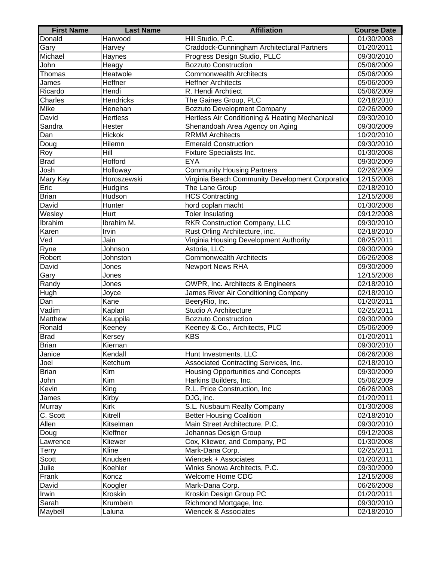| <b>First Name</b> | <b>Last Name</b> | <b>Affiliation</b>                               | <b>Course Date</b> |
|-------------------|------------------|--------------------------------------------------|--------------------|
| Donald            | Harwood          | Hill Studio, P.C.                                | 01/30/2008         |
| Gary              | <b>Harvey</b>    | Craddock-Cunningham Architectural Partners       | 01/20/2011         |
| Michael           | Haynes           | Progress Design Studio, PLLC                     | 09/30/2010         |
| John              | Heagy            | <b>Bozzuto Construction</b>                      | 05/06/2009         |
| Thomas            | Heatwole         | <b>Commonwealth Architects</b>                   | 05/06/2009         |
| James             | Heffner          | <b>Heffner Architects</b>                        | 05/06/2009         |
| Ricardo           | Hendi            | R. Hendi Archtiect                               | 05/06/2009         |
| Charles           | <b>Hendricks</b> | The Gaines Group, PLC                            | 02/18/2010         |
| Mike              | Henehan          | <b>Bozzuto Development Company</b>               | 02/26/2009         |
| David             | Hertless         | Hertless Air Conditioning & Heating Mechanical   | 09/30/2010         |
| Sandra            | Hester           | Shenandoah Area Agency on Aging                  | 09/30/2009         |
| Dan               | Hickok           | <b>RRMM</b> Architects                           | 10/20/2010         |
| Doug              | Hilemn           | <b>Emerald Construction</b>                      | 09/30/2010         |
| Roy               | Hill             | Fixture Specialists Inc.                         | 01/30/2008         |
| <b>Brad</b>       | Hofford          | <b>EYA</b>                                       | 09/30/2009         |
| Josh              | Holloway         | <b>Community Housing Partners</b>                | 02/26/2009         |
| Mary Kay          | Horoszewski      | Virginia Beach Community Development Corporation | 12/15/2008         |
| Eric              | Hudgins          | The Lane Group                                   | 02/18/2010         |
| <b>Brian</b>      | Hudson           | <b>HCS Contracting</b>                           | 12/15/2008         |
| David             | Hunter           | hord coplan macht                                | 01/30/2008         |
| Wesley            | Hurt             | <b>Toler Insulating</b>                          | 09/12/2008         |
| Ibrahim           | Ibrahim M.       | <b>RKR Construction Company, LLC</b>             | 09/30/2010         |
| Karen             | Irvin            | Rust Orling Architecture, inc.                   | 02/18/2010         |
| Ved               | Jain             | Virginia Housing Development Authority           | 08/25/2011         |
| Ryne              | Johnson          | Astoria, LLC                                     | 09/30/2009         |
| Robert            | Johnston         | <b>Commonwealth Architects</b>                   | 06/26/2008         |
| David             | Jones            | <b>Newport News RHA</b>                          | 09/30/2009         |
| Gary              | Jones            |                                                  | 12/15/2008         |
| Randy             | Jones            | OWPR, Inc. Architects & Engineers                | 02/18/2010         |
| Hugh              | Joyce            | James River Air Conditioning Company             | 02/18/2010         |
| Dan               | Kane             | BeeryRio, Inc.                                   | 01/20/2011         |
| Vadim             | Kaplan           | Studio A Architecture                            | 02/25/2011         |
| Matthew           | Kauppila         | Bozzuto Construction                             | 09/30/2009         |
| Ronald            | Keeney           | Keeney & Co., Architects, PLC                    | 05/06/2009         |
| <b>Brad</b>       | Kersey           | <b>KBS</b>                                       | 01/20/2011         |
| Brian             | Kiernan          |                                                  | 09/30/2010         |
| Janice            | Kendall          | Hunt Investments, LLC                            | 06/26/2008         |
| Joel              | Ketchum          | Associated Contracting Services, Inc.            | 02/18/2010         |
| <b>Brian</b>      | Kim              | Housing Opportunities and Concepts               | 09/30/2009         |
| John              | Kim              | Harkins Builders, Inc.                           | 05/06/2009         |
| Kevin             | King             | R.L. Price Construction, Inc.                    | 06/26/2008         |
| James             | Kirby            | DJG, inc.                                        | 01/20/2011         |
| Murray            | Kirk             | S.L. Nusbaum Realty Company                      | 01/30/2008         |
| C. Scott          | Kitrell          | <b>Better Housing Coalition</b>                  | 02/18/2010         |
| Allen             | Kitselman        | Main Street Architecture, P.C.                   | 09/30/2010         |
| Doug              | Kleffner         | Johannas Design Group                            | 09/12/2008         |
| Lawrence          | Kliewer          | Cox, Kliewer, and Company, PC                    | 01/30/2008         |
| <b>Terry</b>      | Kline            | Mark-Dana Corp.                                  | 02/25/2011         |
| Scott             | Knudsen          | Wiencek + Associates                             | 01/20/2011         |
| Julie             | Koehler          | Winks Snowa Architects, P.C.                     | 09/30/2009         |
| Frank             | Koncz            | Welcome Home CDC                                 | 12/15/2008         |
| David             | Koogler          | Mark-Dana Corp.                                  | 06/26/2008         |
| Irwin             | Kroskin          | Kroskin Design Group PC                          | 01/20/2011         |
| Sarah             | Krumbein         | Richmond Mortgage, Inc.                          | 09/30/2010         |
| Maybell           | Laluna           | Wiencek & Associates                             | 02/18/2010         |
|                   |                  |                                                  |                    |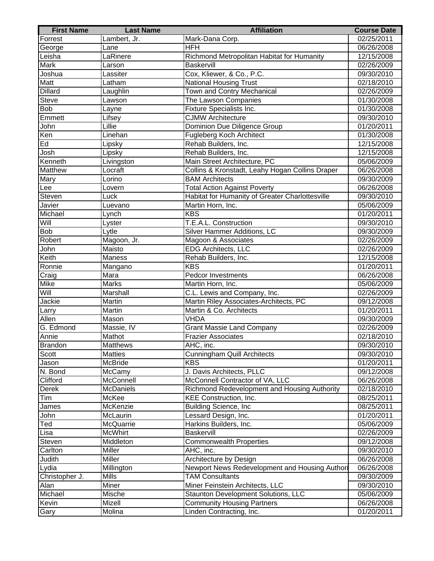| <b>First Name</b> | <b>Last Name</b> | <b>Affiliation</b>                              | <b>Course Date</b> |
|-------------------|------------------|-------------------------------------------------|--------------------|
| Forrest           | Lambert, Jr.     | Mark-Dana Corp.                                 | 02/25/2011         |
| George            | Lane             | <b>HFH</b>                                      | 06/26/2008         |
| Leisha            | LaRinere         | Richmond Metropolitan Habitat for Humanity      | 12/15/2008         |
| <b>Mark</b>       | Larson           | <b>Baskervill</b>                               | 02/26/2009         |
| Joshua            | Lassiter         | Cox, Kliewer, & Co., P.C.                       | 09/30/2010         |
| Matt              | Latham           | <b>National Housing Trust</b>                   | 02/18/2010         |
| <b>Dillard</b>    | Laughlin         | Town and Contry Mechanical                      | 02/26/2009         |
| <b>Steve</b>      | Lawson           | The Lawson Companies                            | 01/30/2008         |
| <b>Bob</b>        | Layne            | Fixture Specialists Inc.                        | 01/30/2008         |
| Emmett            | Lifsey           | <b>CJMW Architecture</b>                        | 09/30/2010         |
| John              | Lillie           | Dominion Due Diligence Group                    | 01/20/2011         |
| Ken               | Linehan          | <b>Fugleberg Koch Architect</b>                 | 01/30/2008         |
| Ed                | Lipsky           | Rehab Builders, Inc.                            | 12/15/2008         |
| Josh              | Lipsky           | Rehab Builders, Inc.                            | 12/15/2008         |
| Kenneth           | Livingston       | Main Street Architecture, PC                    | 05/06/2009         |
| Matthew           | Locraft          | Collins & Kronstadt, Leahy Hogan Collins Draper | 06/26/2008         |
| Mary              | Lorino           | <b>BAM Architects</b>                           | 09/30/2009         |
| Lee               | Lovern           | <b>Total Action Against Poverty</b>             | 06/26/2008         |
| Steven            | Luck             | Habitat for Humanity of Greater Charlottesville | 09/30/2010         |
| Javier            | Luevano          | Martin Horn, Inc.                               | 05/06/2009         |
| Michael           | Lynch            | <b>KBS</b>                                      | 01/20/2011         |
| Will              | Lyster           | T.E.A.L. Construction                           | 09/30/2010         |
| <b>Bob</b>        | Lytle            | Silver Hammer Additions, LC                     | 09/30/2009         |
| Robert            | Magoon, Jr.      | Magoon & Associates                             | 02/26/2009         |
| John              | Maisto           | <b>EDG</b> Architects, LLC                      | 02/26/2009         |
| Keith             | <b>Maness</b>    | Rehab Builders, Inc.                            | 12/15/2008         |
| Ronnie            | Mangano          | <b>KBS</b>                                      | 01/20/2011         |
| Craig             | Mara             | <b>Pedcor Investments</b>                       | 06/26/2008         |
| Mike              | Marks            | Martin Horn, Inc.                               | 05/06/2009         |
| Will              | Marshall         | C.L. Lewis and Company, Inc.                    | 02/26/2009         |
| Jackie            | Martin           | Martin Riley Associates-Architects, PC          | 09/12/2008         |
| Larry             | Martin           | Martin & Co. Architects                         | 01/20/2011         |
| Allen             | Mason            | VHDA                                            | 09/30/2009         |
| G. Edmond         | Massie, IV       | <b>Grant Massie Land Company</b>                | 02/26/2009         |
| Annie             | Mathot           | <b>Frazier Associates</b>                       | 02/18/2010         |
| <b>Brandon</b>    | Matthews         | AHC, inc.                                       | 09/30/2010         |
| Scott             | <b>Matties</b>   | <b>Cunningham Quill Architects</b>              | 09/30/2010         |
| Jason             | McBride          | <b>KBS</b>                                      | 01/20/2011         |
| N. Bond           | McCamy           | J. Davis Architects, PLLC                       | 09/12/2008         |
| Clifford          | McConnell        | McConnell Contractor of VA, LLC                 | 06/26/2008         |
| <b>Derek</b>      | <b>McDaniels</b> | Richmond Redevelopment and Housing Authority    | 02/18/2010         |
| Tim               | McKee            | KEE Construction, Inc.                          | 08/25/2011         |
| James             | McKenzie         | <b>Building Science, Inc.</b>                   | 08/25/2011         |
| John              | McLaurin         | Lessard Design, Inc.                            | 01/20/2011         |
| Ted               | McQuarrie        | Harkins Builders, Inc.                          | 05/06/2009         |
| Lisa              | <b>McWhirt</b>   | Baskervill                                      | 02/26/2009         |
| Steven            | Middleton        | <b>Commonwealth Properties</b>                  | 09/12/2008         |
| Carlton           | Miller           | AHC, inc.                                       | 09/30/2010         |
| Judith            | Miller           | Architecture by Design                          | 06/26/2008         |
| Lydia             | Millington       | Newport News Redevelopment and Housing Authori  | 06/26/2008         |
| Christopher J.    | <b>Mills</b>     | <b>TAM Consultants</b>                          | 09/30/2009         |
| Alan              | <b>Miner</b>     | Miner Feinstein Architects, LLC                 | 09/30/2010         |
| Michael           | Mische           | Staunton Development Solutions, LLC             | 05/06/2009         |
| Kevin             | Mizell           | <b>Community Housing Partners</b>               | 06/26/2008         |
| Gary              | Molina           | Linden Contracting, Inc.                        | 01/20/2011         |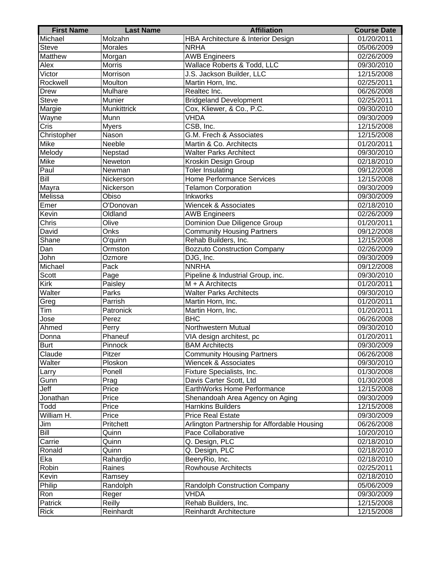| <b>First Name</b> | <b>Last Name</b> | <b>Affiliation</b>                           | <b>Course Date</b> |
|-------------------|------------------|----------------------------------------------|--------------------|
| Michael           | Molzahn          | HBA Architecture & Interior Design           | 01/20/2011         |
| <b>Steve</b>      | Morales          | <b>NRHA</b>                                  | 05/06/2009         |
| <b>Matthew</b>    | Morgan           | <b>AWB Engineers</b>                         | 02/26/2009         |
| Alex              | <b>Morris</b>    | Wallace Roberts & Todd, LLC                  | 09/30/2010         |
| Victor            | Morrison         | J.S. Jackson Builder, LLC                    | 12/15/2008         |
| Rockwell          | Moulton          | Martin Horn, Inc.                            | 02/25/2011         |
| <b>Drew</b>       | Mulhare          | Realtec Inc.                                 | 06/26/2008         |
| <b>Steve</b>      | Munier           | <b>Bridgeland Development</b>                | 02/25/2011         |
| Margie            | Munkittrick      | Cox, Kliewer, & Co., P.C.                    | 09/30/2010         |
| Wayne             | Munn             | <b>VHDA</b>                                  | 09/30/2009         |
| Cris              | Myers            | CSB, Inc.                                    | 12/15/2008         |
| Christopher       | Nason            | G.M. Frech & Associates                      | 12/15/2008         |
| Mike              | Neeble           | Martin & Co. Architects                      | 01/20/2011         |
| Melody            | Nepstad          | <b>Walter Parks Architect</b>                | 09/30/2010         |
| Mike              | Neweton          | Kroskin Design Group                         | 02/18/2010         |
| Paul              | Newman           | <b>Toler Insulating</b>                      | 09/12/2008         |
| Bill              | Nickerson        | <b>Home Performance Services</b>             | 12/15/2008         |
| Mayra             | Nickerson        | <b>Telamon Corporation</b>                   | 09/30/2009         |
| Melissa           | Obiso            | Inkworks                                     | 09/30/2009         |
| Emer              | O'Donovan        | Wiencek & Associates                         | 02/18/2010         |
| Kevin             | Oldland          | <b>AWB Engineers</b>                         | 02/26/2009         |
| Chris             | Olive            | Dominion Due Diligence Group                 | 01/20/2011         |
| David             | Onks             | <b>Community Housing Partners</b>            | 09/12/2008         |
| Shane             | O'quinn          | Rehab Builders, Inc.                         | 12/15/2008         |
| Dan               | Ormston          | <b>Bozzuto Construction Company</b>          | 02/26/2009         |
| John              | Ozmore           | DJG, Inc.                                    | 09/30/2009         |
| Michael           | Pack             | <b>NNRHA</b>                                 | 09/12/2008         |
| Scott             | Page             | Pipeline & Industrial Group, inc.            | 09/30/2010         |
| Kirk              | Paisley          | $M + A$ Architects                           | 01/20/2011         |
| Walter            | Parks            | <b>Walter Parks Architects</b>               | 09/30/2010         |
| Greg              | Parrish          | Martin Horn, Inc.                            | 01/20/2011         |
| Tim               | Patronick        | Martin Horn, Inc.                            | 01/20/2011         |
| Jose              | Perez            | <b>BHC</b>                                   | 06/26/2008         |
| Ahmed             | Perry            | Northwestern Mutual                          | 09/30/2010         |
| Donna             | Phaneuf          | VIA design architest, pc                     | 01/20/2011         |
| <b>Burt</b>       | Pinnock          | <b>BAM Architects</b>                        | 09/30/2009         |
| Claude            | Pitzer           | <b>Community Housing Partners</b>            | 06/26/2008         |
| Walter            | Ploskon          | Wiencek & Associates                         | 09/30/2010         |
| Larry             | Ponell           | Fixture Specialists, Inc.                    | 01/30/2008         |
| Gunn              | Prag             | Davis Carter Scott, Ltd                      | 01/30/2008         |
| Jeff              | Price            | EarthWorks Home Performance                  | 12/15/2008         |
| Jonathan          | Price            | Shenandoah Area Agency on Aging              | 09/30/2009         |
| Todd              | Price            | Harnkins Builders                            | 12/15/2008         |
| William H.        | Price            | <b>Price Real Estate</b>                     | 09/30/2009         |
| Jim               | Pritchett        | Arlington Partnership for Affordable Housing | 06/26/2008         |
| Bill              | Quinn            | Pace Collaborative                           | 10/20/2010         |
| Carrie            | Quinn            | Q. Design, PLC                               | 02/18/2010         |
| Ronald            | Quinn            | Q. Design, PLC                               | 02/18/2010         |
| Eka               | Rahardjo         | BeeryRio, Inc.                               | 02/18/2010         |
| Robin             | Raines           | <b>Rowhouse Architects</b>                   | 02/25/2011         |
| Kevin             | Ramsey           |                                              | 02/18/2010         |
| Philip            | Randolph         | Randolph Construction Company                | 05/06/2009         |
| Ron               | Reger            | VHDA                                         | 09/30/2009         |
| Patrick           | Reilly           | Rehab Builders, Inc.                         | 12/15/2008         |
| <b>Rick</b>       | Reinhardt        | <b>Reinhardt Architecture</b>                | 12/15/2008         |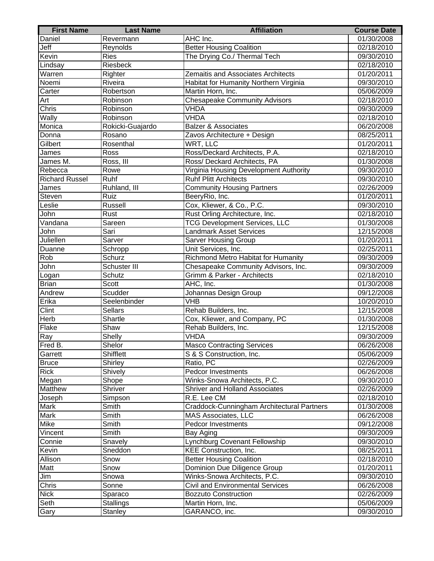| <b>First Name</b>     | <b>Last Name</b> | <b>Affiliation</b>                         | <b>Course Date</b> |
|-----------------------|------------------|--------------------------------------------|--------------------|
| Daniel                | Revermann        | AHC Inc.                                   | 01/30/2008         |
| Jeff                  | Reynolds         | <b>Better Housing Coalition</b>            | 02/18/2010         |
| Kevin                 | <b>Ries</b>      | The Drying Co./ Thermal Tech               | 09/30/2010         |
| Lindsay               | <b>Riesbeck</b>  |                                            | 02/18/2010         |
| Warren                | Righter          | Zemaitis and Associates Architects         | 01/20/2011         |
| Noemi                 | Riveira          | Habitat for Humanity Northern Virginia     | 09/30/2010         |
| Carter                | Robertson        | Martin Horn, Inc.                          | 05/06/2009         |
| Art                   | Robinson         | <b>Chesapeake Community Advisors</b>       | 02/18/2010         |
| Chris                 | Robinson         | <b>VHDA</b>                                | 09/30/2009         |
| Wally                 | Robinson         | <b>VHDA</b>                                | 02/18/2010         |
| Monica                | Rokicki-Guajardo | <b>Balzer &amp; Associates</b>             | 06/20/2008         |
| Donna                 | Rosano           | Zavos Architecture + Design                | 08/25/2011         |
| Gilbert               | Rosenthal        | WRT, LLC                                   | 01/20/2011         |
| James                 | Ross             | Ross/Deckard Architects, P.A.              | 02/18/2010         |
| James M.              | Ross, III        | Ross/ Deckard Architects, PA               | 01/30/2008         |
| Rebecca               | Rowe             | Virginia Housing Development Authority     | 09/30/2010         |
| <b>Richard Russel</b> | Ruhf             | <b>Ruhf Plitt Architects</b>               | 09/30/2010         |
| James                 | Ruhland, III     | <b>Community Housing Partners</b>          | 02/26/2009         |
| Steven                | Ruiz             | BeeryRio, Inc.                             | 01/20/2011         |
| Leslie                | Russell          | Cox, Kliewer, & Co., P.C.                  | 09/30/2010         |
| John                  | Rust             | Rust Orling Architecture, Inc.             | 02/18/2010         |
| Vandana               | Sareen           | <b>TCG Development Services, LLC</b>       | 01/30/2008         |
| John                  | Sari             | <b>Landmark Asset Services</b>             | 12/15/2008         |
| Juliellen             | Sarver           | <b>Sarver Housing Group</b>                | 01/20/2011         |
| Duanne                | Schropp          | Unit Services, Inc.                        | 02/25/2011         |
| Rob                   | Schurz           | Richmond Metro Habitat for Humanity        | 09/30/2009         |
| John                  | Schuster III     | Chesapeake Community Advisors, Inc.        | 09/30/2009         |
| Logan                 | Schutz           | Grimm & Parker - Architects                | 02/18/2010         |
| <b>Brian</b>          | Scott            | AHC, Inc.                                  | 01/30/2008         |
| Andrew                | Scudder          | Johannas Design Group                      | 09/12/2008         |
| Erika                 | Seelenbinder     | VHB                                        | 10/20/2010         |
| Clint                 | Sellars          | Rehab Builders, Inc.                       | 12/15/2008         |
| Herb                  | Shartle          | Cox, Kliewer, and Company, PC              | 01/30/2008         |
| Flake                 | Shaw             | Rehab Builders, Inc.                       | 12/15/2008         |
| Ray                   | Shelly           | <b>VHDA</b>                                | 09/30/2009         |
| Fred B.               | Shelor           | <b>Masco Contracting Services</b>          | 06/26/2008         |
| Garrett               | <b>Shifflett</b> | S & S Construction, Inc.                   | 05/06/2009         |
| <b>Bruce</b>          | Shirley          | Ratio, PC                                  | 02/26/2009         |
| <b>Rick</b>           | Shively          | Pedcor Investments                         | 06/26/2008         |
| Megan                 | Shope            | Winks-Snowa Architects, P.C.               | 09/30/2010         |
| Matthew               | Shriver          | <b>Shriver and Holland Associates</b>      | 02/26/2009         |
| Joseph                | Simpson          | R.E. Lee CM                                | 02/18/2010         |
| Mark                  | Smith            | Craddock-Cunningham Architectural Partners | 01/30/2008         |
| Mark                  | Smith            | MAS Associates, LLC                        | 06/26/2008         |
| Mike                  | Smith            | <b>Pedcor Investments</b>                  | 09/12/2008         |
| Vincent               | Smith            | Bay Aging                                  | 09/30/2009         |
| Connie                | Snavely          | Lynchburg Covenant Fellowship              | 09/30/2010         |
| Kevin                 | Sneddon          | KEE Construction, Inc.                     | 08/25/2011         |
| Allison               | Snow             | <b>Better Housing Coalition</b>            | 02/18/2010         |
| Matt                  | Snow             | Dominion Due Diligence Group               | 01/20/2011         |
| Jim                   | Snowa            | Winks-Snowa Architects, P.C.               | 09/30/2010         |
| Chris                 | Sonne            | <b>Civil and Environmental Services</b>    | 06/26/2008         |
| <b>Nick</b>           | Sparaco          | <b>Bozzuto Construction</b>                | 02/26/2009         |
| Seth                  | <b>Stallings</b> | Martin Horn, Inc.                          | 05/06/2009         |
| Gary                  | Stanley          | GARANCO, inc.                              | 09/30/2010         |
|                       |                  |                                            |                    |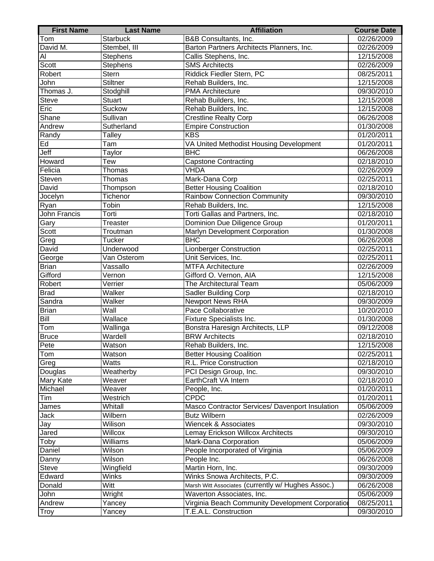| <b>Starbuck</b><br><b>B&amp;B</b> Consultants, Inc.<br>02/26/2009<br>Tom<br>David M.<br>Barton Partners Architects Planners, Inc.<br>Stembel, III<br>02/26/2009<br><b>Stephens</b><br>Callis Stephens, Inc.<br>12/15/2008<br>Al<br>Scott<br><b>Stephens</b><br><b>SMS Architects</b><br>02/26/2009<br>Robert<br><b>Stern</b><br>Riddick Fiedler Stern, PC<br>08/25/2011<br>Stiltner<br>John<br>12/15/2008<br>Rehab Builders, Inc.<br>Thomas J.<br><b>PMA Architecture</b><br>09/30/2010<br>Stodghill<br><b>Stuart</b><br>Rehab Builders, Inc.<br><b>Steve</b><br>12/15/2008<br><b>Suckow</b><br>Eric<br>Rehab Builders, Inc.<br>12/15/2008<br>Shane<br>Sullivan<br><b>Crestline Realty Corp</b><br>06/26/2008<br>Andrew<br><b>Empire Construction</b><br>01/30/2008<br>Sutherland<br><b>KBS</b><br>Talley<br>01/20/2011<br>Randy<br>Ed<br>VA United Methodist Housing Development<br>Tam<br>01/20/2011<br>Jeff<br><b>BHC</b><br>Taylor<br>06/26/2008<br>Howard<br><b>Capstone Contracting</b><br>$\overline{02}/18/2010$<br><b>Tew</b><br>Felicia<br><b>VHDA</b><br>02/26/2009<br>Thomas<br>Steven<br>Mark-Dana Corp<br>02/25/2011<br>Thomas<br><b>Better Housing Coalition</b><br>David<br>02/18/2010<br>Thompson<br><b>Rainbow Connection Community</b><br>Jocelyn<br>Tichenor<br>09/30/2010<br>Tobin<br>Rehab Builders, Inc.<br>12/15/2008<br>Ryan<br>John Francis<br>Torti Gallas and Partners, Inc.<br>Torti<br>02/18/2010<br>Dominion Due Diligence Group<br>Gary<br><b>Treaster</b><br>01/20/2011<br>Scott<br>Marlyn Development Corporation<br>01/30/2008<br>Troutman<br><b>BHC</b><br><b>Tucker</b><br>Greg<br>06/26/2008<br>David<br>Underwood<br><b>Lionberger Construction</b><br>02/25/2011<br>Unit Services, Inc.<br>George<br>Van Osterom<br>02/25/2011<br><b>Brian</b><br>Vassallo<br><b>MTFA Architecture</b><br>02/26/2009<br>Gifford<br>Gifford O. Vernon, AIA<br>12/15/2008<br>$\overline{\mathsf{V}}$ ernon<br>The Architectural Team<br>Robert<br>05/06/2009<br>Verrier<br><b>Sadler Building Corp</b><br>02/18/2010<br><b>Brad</b><br>Walker<br><b>Newport News RHA</b><br>Sandra<br>Walker<br>09/30/2009<br>$\overline{\mathsf{Wall}}$<br>Pace Collaborative<br><b>Brian</b><br>10/20/2010<br><b>Bill</b><br>Wallace<br>Fixture Specialists Inc.<br>01/30/2008<br>Tom<br>Wallinga<br>Bonstra Haresign Architects, LLP<br>09/12/2008<br>Wardell<br><b>Bruce</b><br><b>BRW Architects</b><br>02/18/2010<br>Rehab Builders, Inc.<br>12/15/2008<br>Pete<br>Watson<br>Tom<br>Watson<br><b>Better Housing Coalition</b><br>02/25/2011<br>Watts<br>R.L. Price Construction<br>Greg<br>02/18/2010<br>Douglas<br>Weatherby<br>PCI Design Group, Inc.<br>09/30/2010<br>Mary Kate<br>Weaver<br>EarthCraft VA Intern<br>02/18/2010<br>Michael<br>Weaver<br>01/20/2011<br>People, Inc.<br><b>CPDC</b><br>Tim<br>Westrich<br>01/20/2011<br>Whitall<br>Masco Contractor Services/ Davenport Insulation<br>05/06/2009<br>James<br><b>Butz Wilbern</b><br>Jack<br>Wilbern<br>02/26/2009<br>Wilison<br><b>Wiencek &amp; Associates</b><br>09/30/2010<br>Jay<br>Jared<br>Willcox<br>Lemay Erickson Willcox Architects<br>09/30/2010<br>Toby<br>Mark-Dana Corporation<br>05/06/2009<br>Williams<br>Daniel<br>Wilson<br>People Incorporated of Virginia<br>05/06/2009<br>Wilson<br>People Inc.<br>Danny<br>06/26/2008<br>Martin Horn, Inc.<br><b>Steve</b><br>Wingfield<br>09/30/2009<br>Edward<br>Winks<br>Winks Snowa Architects, P.C.<br>09/30/2009<br>Witt<br>06/26/2008<br>Donald<br>Marsh Witt Associates (currently w/ Hughes Assoc.)<br>Waverton Associates, Inc.<br>John<br>Wright<br>05/06/2009<br>Virginia Beach Community Development Corporation<br>Andrew<br>Yancey<br>08/25/2011<br><b>Troy</b><br>Yancey<br>T.E.A.L. Construction<br>09/30/2010 | <b>First Name</b> | <b>Last Name</b> | <b>Affiliation</b> | <b>Course Date</b> |
|--------------------------------------------------------------------------------------------------------------------------------------------------------------------------------------------------------------------------------------------------------------------------------------------------------------------------------------------------------------------------------------------------------------------------------------------------------------------------------------------------------------------------------------------------------------------------------------------------------------------------------------------------------------------------------------------------------------------------------------------------------------------------------------------------------------------------------------------------------------------------------------------------------------------------------------------------------------------------------------------------------------------------------------------------------------------------------------------------------------------------------------------------------------------------------------------------------------------------------------------------------------------------------------------------------------------------------------------------------------------------------------------------------------------------------------------------------------------------------------------------------------------------------------------------------------------------------------------------------------------------------------------------------------------------------------------------------------------------------------------------------------------------------------------------------------------------------------------------------------------------------------------------------------------------------------------------------------------------------------------------------------------------------------------------------------------------------------------------------------------------------------------------------------------------------------------------------------------------------------------------------------------------------------------------------------------------------------------------------------------------------------------------------------------------------------------------------------------------------------------------------------------------------------------------------------------------------------------------------------------------------------------------------------------------------------------------------------------------------------------------------------------------------------------------------------------------------------------------------------------------------------------------------------------------------------------------------------------------------------------------------------------------------------------------------------------------------------------------------------------------------------------------------------------------------------------------------------------------------------------------------------------------------------------------------------------------------------------------------------------------------------------------------------------------------------------------------------------------------------------------------------------------------------------------------------------------------------------------------------------------------------------------------------------------------------------------------------------------------------------------------------------|-------------------|------------------|--------------------|--------------------|
|                                                                                                                                                                                                                                                                                                                                                                                                                                                                                                                                                                                                                                                                                                                                                                                                                                                                                                                                                                                                                                                                                                                                                                                                                                                                                                                                                                                                                                                                                                                                                                                                                                                                                                                                                                                                                                                                                                                                                                                                                                                                                                                                                                                                                                                                                                                                                                                                                                                                                                                                                                                                                                                                                                                                                                                                                                                                                                                                                                                                                                                                                                                                                                                                                                                                                                                                                                                                                                                                                                                                                                                                                                                                                                                                                                    |                   |                  |                    |                    |
|                                                                                                                                                                                                                                                                                                                                                                                                                                                                                                                                                                                                                                                                                                                                                                                                                                                                                                                                                                                                                                                                                                                                                                                                                                                                                                                                                                                                                                                                                                                                                                                                                                                                                                                                                                                                                                                                                                                                                                                                                                                                                                                                                                                                                                                                                                                                                                                                                                                                                                                                                                                                                                                                                                                                                                                                                                                                                                                                                                                                                                                                                                                                                                                                                                                                                                                                                                                                                                                                                                                                                                                                                                                                                                                                                                    |                   |                  |                    |                    |
|                                                                                                                                                                                                                                                                                                                                                                                                                                                                                                                                                                                                                                                                                                                                                                                                                                                                                                                                                                                                                                                                                                                                                                                                                                                                                                                                                                                                                                                                                                                                                                                                                                                                                                                                                                                                                                                                                                                                                                                                                                                                                                                                                                                                                                                                                                                                                                                                                                                                                                                                                                                                                                                                                                                                                                                                                                                                                                                                                                                                                                                                                                                                                                                                                                                                                                                                                                                                                                                                                                                                                                                                                                                                                                                                                                    |                   |                  |                    |                    |
|                                                                                                                                                                                                                                                                                                                                                                                                                                                                                                                                                                                                                                                                                                                                                                                                                                                                                                                                                                                                                                                                                                                                                                                                                                                                                                                                                                                                                                                                                                                                                                                                                                                                                                                                                                                                                                                                                                                                                                                                                                                                                                                                                                                                                                                                                                                                                                                                                                                                                                                                                                                                                                                                                                                                                                                                                                                                                                                                                                                                                                                                                                                                                                                                                                                                                                                                                                                                                                                                                                                                                                                                                                                                                                                                                                    |                   |                  |                    |                    |
|                                                                                                                                                                                                                                                                                                                                                                                                                                                                                                                                                                                                                                                                                                                                                                                                                                                                                                                                                                                                                                                                                                                                                                                                                                                                                                                                                                                                                                                                                                                                                                                                                                                                                                                                                                                                                                                                                                                                                                                                                                                                                                                                                                                                                                                                                                                                                                                                                                                                                                                                                                                                                                                                                                                                                                                                                                                                                                                                                                                                                                                                                                                                                                                                                                                                                                                                                                                                                                                                                                                                                                                                                                                                                                                                                                    |                   |                  |                    |                    |
|                                                                                                                                                                                                                                                                                                                                                                                                                                                                                                                                                                                                                                                                                                                                                                                                                                                                                                                                                                                                                                                                                                                                                                                                                                                                                                                                                                                                                                                                                                                                                                                                                                                                                                                                                                                                                                                                                                                                                                                                                                                                                                                                                                                                                                                                                                                                                                                                                                                                                                                                                                                                                                                                                                                                                                                                                                                                                                                                                                                                                                                                                                                                                                                                                                                                                                                                                                                                                                                                                                                                                                                                                                                                                                                                                                    |                   |                  |                    |                    |
|                                                                                                                                                                                                                                                                                                                                                                                                                                                                                                                                                                                                                                                                                                                                                                                                                                                                                                                                                                                                                                                                                                                                                                                                                                                                                                                                                                                                                                                                                                                                                                                                                                                                                                                                                                                                                                                                                                                                                                                                                                                                                                                                                                                                                                                                                                                                                                                                                                                                                                                                                                                                                                                                                                                                                                                                                                                                                                                                                                                                                                                                                                                                                                                                                                                                                                                                                                                                                                                                                                                                                                                                                                                                                                                                                                    |                   |                  |                    |                    |
|                                                                                                                                                                                                                                                                                                                                                                                                                                                                                                                                                                                                                                                                                                                                                                                                                                                                                                                                                                                                                                                                                                                                                                                                                                                                                                                                                                                                                                                                                                                                                                                                                                                                                                                                                                                                                                                                                                                                                                                                                                                                                                                                                                                                                                                                                                                                                                                                                                                                                                                                                                                                                                                                                                                                                                                                                                                                                                                                                                                                                                                                                                                                                                                                                                                                                                                                                                                                                                                                                                                                                                                                                                                                                                                                                                    |                   |                  |                    |                    |
|                                                                                                                                                                                                                                                                                                                                                                                                                                                                                                                                                                                                                                                                                                                                                                                                                                                                                                                                                                                                                                                                                                                                                                                                                                                                                                                                                                                                                                                                                                                                                                                                                                                                                                                                                                                                                                                                                                                                                                                                                                                                                                                                                                                                                                                                                                                                                                                                                                                                                                                                                                                                                                                                                                                                                                                                                                                                                                                                                                                                                                                                                                                                                                                                                                                                                                                                                                                                                                                                                                                                                                                                                                                                                                                                                                    |                   |                  |                    |                    |
|                                                                                                                                                                                                                                                                                                                                                                                                                                                                                                                                                                                                                                                                                                                                                                                                                                                                                                                                                                                                                                                                                                                                                                                                                                                                                                                                                                                                                                                                                                                                                                                                                                                                                                                                                                                                                                                                                                                                                                                                                                                                                                                                                                                                                                                                                                                                                                                                                                                                                                                                                                                                                                                                                                                                                                                                                                                                                                                                                                                                                                                                                                                                                                                                                                                                                                                                                                                                                                                                                                                                                                                                                                                                                                                                                                    |                   |                  |                    |                    |
|                                                                                                                                                                                                                                                                                                                                                                                                                                                                                                                                                                                                                                                                                                                                                                                                                                                                                                                                                                                                                                                                                                                                                                                                                                                                                                                                                                                                                                                                                                                                                                                                                                                                                                                                                                                                                                                                                                                                                                                                                                                                                                                                                                                                                                                                                                                                                                                                                                                                                                                                                                                                                                                                                                                                                                                                                                                                                                                                                                                                                                                                                                                                                                                                                                                                                                                                                                                                                                                                                                                                                                                                                                                                                                                                                                    |                   |                  |                    |                    |
|                                                                                                                                                                                                                                                                                                                                                                                                                                                                                                                                                                                                                                                                                                                                                                                                                                                                                                                                                                                                                                                                                                                                                                                                                                                                                                                                                                                                                                                                                                                                                                                                                                                                                                                                                                                                                                                                                                                                                                                                                                                                                                                                                                                                                                                                                                                                                                                                                                                                                                                                                                                                                                                                                                                                                                                                                                                                                                                                                                                                                                                                                                                                                                                                                                                                                                                                                                                                                                                                                                                                                                                                                                                                                                                                                                    |                   |                  |                    |                    |
|                                                                                                                                                                                                                                                                                                                                                                                                                                                                                                                                                                                                                                                                                                                                                                                                                                                                                                                                                                                                                                                                                                                                                                                                                                                                                                                                                                                                                                                                                                                                                                                                                                                                                                                                                                                                                                                                                                                                                                                                                                                                                                                                                                                                                                                                                                                                                                                                                                                                                                                                                                                                                                                                                                                                                                                                                                                                                                                                                                                                                                                                                                                                                                                                                                                                                                                                                                                                                                                                                                                                                                                                                                                                                                                                                                    |                   |                  |                    |                    |
|                                                                                                                                                                                                                                                                                                                                                                                                                                                                                                                                                                                                                                                                                                                                                                                                                                                                                                                                                                                                                                                                                                                                                                                                                                                                                                                                                                                                                                                                                                                                                                                                                                                                                                                                                                                                                                                                                                                                                                                                                                                                                                                                                                                                                                                                                                                                                                                                                                                                                                                                                                                                                                                                                                                                                                                                                                                                                                                                                                                                                                                                                                                                                                                                                                                                                                                                                                                                                                                                                                                                                                                                                                                                                                                                                                    |                   |                  |                    |                    |
|                                                                                                                                                                                                                                                                                                                                                                                                                                                                                                                                                                                                                                                                                                                                                                                                                                                                                                                                                                                                                                                                                                                                                                                                                                                                                                                                                                                                                                                                                                                                                                                                                                                                                                                                                                                                                                                                                                                                                                                                                                                                                                                                                                                                                                                                                                                                                                                                                                                                                                                                                                                                                                                                                                                                                                                                                                                                                                                                                                                                                                                                                                                                                                                                                                                                                                                                                                                                                                                                                                                                                                                                                                                                                                                                                                    |                   |                  |                    |                    |
|                                                                                                                                                                                                                                                                                                                                                                                                                                                                                                                                                                                                                                                                                                                                                                                                                                                                                                                                                                                                                                                                                                                                                                                                                                                                                                                                                                                                                                                                                                                                                                                                                                                                                                                                                                                                                                                                                                                                                                                                                                                                                                                                                                                                                                                                                                                                                                                                                                                                                                                                                                                                                                                                                                                                                                                                                                                                                                                                                                                                                                                                                                                                                                                                                                                                                                                                                                                                                                                                                                                                                                                                                                                                                                                                                                    |                   |                  |                    |                    |
|                                                                                                                                                                                                                                                                                                                                                                                                                                                                                                                                                                                                                                                                                                                                                                                                                                                                                                                                                                                                                                                                                                                                                                                                                                                                                                                                                                                                                                                                                                                                                                                                                                                                                                                                                                                                                                                                                                                                                                                                                                                                                                                                                                                                                                                                                                                                                                                                                                                                                                                                                                                                                                                                                                                                                                                                                                                                                                                                                                                                                                                                                                                                                                                                                                                                                                                                                                                                                                                                                                                                                                                                                                                                                                                                                                    |                   |                  |                    |                    |
|                                                                                                                                                                                                                                                                                                                                                                                                                                                                                                                                                                                                                                                                                                                                                                                                                                                                                                                                                                                                                                                                                                                                                                                                                                                                                                                                                                                                                                                                                                                                                                                                                                                                                                                                                                                                                                                                                                                                                                                                                                                                                                                                                                                                                                                                                                                                                                                                                                                                                                                                                                                                                                                                                                                                                                                                                                                                                                                                                                                                                                                                                                                                                                                                                                                                                                                                                                                                                                                                                                                                                                                                                                                                                                                                                                    |                   |                  |                    |                    |
|                                                                                                                                                                                                                                                                                                                                                                                                                                                                                                                                                                                                                                                                                                                                                                                                                                                                                                                                                                                                                                                                                                                                                                                                                                                                                                                                                                                                                                                                                                                                                                                                                                                                                                                                                                                                                                                                                                                                                                                                                                                                                                                                                                                                                                                                                                                                                                                                                                                                                                                                                                                                                                                                                                                                                                                                                                                                                                                                                                                                                                                                                                                                                                                                                                                                                                                                                                                                                                                                                                                                                                                                                                                                                                                                                                    |                   |                  |                    |                    |
|                                                                                                                                                                                                                                                                                                                                                                                                                                                                                                                                                                                                                                                                                                                                                                                                                                                                                                                                                                                                                                                                                                                                                                                                                                                                                                                                                                                                                                                                                                                                                                                                                                                                                                                                                                                                                                                                                                                                                                                                                                                                                                                                                                                                                                                                                                                                                                                                                                                                                                                                                                                                                                                                                                                                                                                                                                                                                                                                                                                                                                                                                                                                                                                                                                                                                                                                                                                                                                                                                                                                                                                                                                                                                                                                                                    |                   |                  |                    |                    |
|                                                                                                                                                                                                                                                                                                                                                                                                                                                                                                                                                                                                                                                                                                                                                                                                                                                                                                                                                                                                                                                                                                                                                                                                                                                                                                                                                                                                                                                                                                                                                                                                                                                                                                                                                                                                                                                                                                                                                                                                                                                                                                                                                                                                                                                                                                                                                                                                                                                                                                                                                                                                                                                                                                                                                                                                                                                                                                                                                                                                                                                                                                                                                                                                                                                                                                                                                                                                                                                                                                                                                                                                                                                                                                                                                                    |                   |                  |                    |                    |
|                                                                                                                                                                                                                                                                                                                                                                                                                                                                                                                                                                                                                                                                                                                                                                                                                                                                                                                                                                                                                                                                                                                                                                                                                                                                                                                                                                                                                                                                                                                                                                                                                                                                                                                                                                                                                                                                                                                                                                                                                                                                                                                                                                                                                                                                                                                                                                                                                                                                                                                                                                                                                                                                                                                                                                                                                                                                                                                                                                                                                                                                                                                                                                                                                                                                                                                                                                                                                                                                                                                                                                                                                                                                                                                                                                    |                   |                  |                    |                    |
|                                                                                                                                                                                                                                                                                                                                                                                                                                                                                                                                                                                                                                                                                                                                                                                                                                                                                                                                                                                                                                                                                                                                                                                                                                                                                                                                                                                                                                                                                                                                                                                                                                                                                                                                                                                                                                                                                                                                                                                                                                                                                                                                                                                                                                                                                                                                                                                                                                                                                                                                                                                                                                                                                                                                                                                                                                                                                                                                                                                                                                                                                                                                                                                                                                                                                                                                                                                                                                                                                                                                                                                                                                                                                                                                                                    |                   |                  |                    |                    |
|                                                                                                                                                                                                                                                                                                                                                                                                                                                                                                                                                                                                                                                                                                                                                                                                                                                                                                                                                                                                                                                                                                                                                                                                                                                                                                                                                                                                                                                                                                                                                                                                                                                                                                                                                                                                                                                                                                                                                                                                                                                                                                                                                                                                                                                                                                                                                                                                                                                                                                                                                                                                                                                                                                                                                                                                                                                                                                                                                                                                                                                                                                                                                                                                                                                                                                                                                                                                                                                                                                                                                                                                                                                                                                                                                                    |                   |                  |                    |                    |
|                                                                                                                                                                                                                                                                                                                                                                                                                                                                                                                                                                                                                                                                                                                                                                                                                                                                                                                                                                                                                                                                                                                                                                                                                                                                                                                                                                                                                                                                                                                                                                                                                                                                                                                                                                                                                                                                                                                                                                                                                                                                                                                                                                                                                                                                                                                                                                                                                                                                                                                                                                                                                                                                                                                                                                                                                                                                                                                                                                                                                                                                                                                                                                                                                                                                                                                                                                                                                                                                                                                                                                                                                                                                                                                                                                    |                   |                  |                    |                    |
|                                                                                                                                                                                                                                                                                                                                                                                                                                                                                                                                                                                                                                                                                                                                                                                                                                                                                                                                                                                                                                                                                                                                                                                                                                                                                                                                                                                                                                                                                                                                                                                                                                                                                                                                                                                                                                                                                                                                                                                                                                                                                                                                                                                                                                                                                                                                                                                                                                                                                                                                                                                                                                                                                                                                                                                                                                                                                                                                                                                                                                                                                                                                                                                                                                                                                                                                                                                                                                                                                                                                                                                                                                                                                                                                                                    |                   |                  |                    |                    |
|                                                                                                                                                                                                                                                                                                                                                                                                                                                                                                                                                                                                                                                                                                                                                                                                                                                                                                                                                                                                                                                                                                                                                                                                                                                                                                                                                                                                                                                                                                                                                                                                                                                                                                                                                                                                                                                                                                                                                                                                                                                                                                                                                                                                                                                                                                                                                                                                                                                                                                                                                                                                                                                                                                                                                                                                                                                                                                                                                                                                                                                                                                                                                                                                                                                                                                                                                                                                                                                                                                                                                                                                                                                                                                                                                                    |                   |                  |                    |                    |
|                                                                                                                                                                                                                                                                                                                                                                                                                                                                                                                                                                                                                                                                                                                                                                                                                                                                                                                                                                                                                                                                                                                                                                                                                                                                                                                                                                                                                                                                                                                                                                                                                                                                                                                                                                                                                                                                                                                                                                                                                                                                                                                                                                                                                                                                                                                                                                                                                                                                                                                                                                                                                                                                                                                                                                                                                                                                                                                                                                                                                                                                                                                                                                                                                                                                                                                                                                                                                                                                                                                                                                                                                                                                                                                                                                    |                   |                  |                    |                    |
|                                                                                                                                                                                                                                                                                                                                                                                                                                                                                                                                                                                                                                                                                                                                                                                                                                                                                                                                                                                                                                                                                                                                                                                                                                                                                                                                                                                                                                                                                                                                                                                                                                                                                                                                                                                                                                                                                                                                                                                                                                                                                                                                                                                                                                                                                                                                                                                                                                                                                                                                                                                                                                                                                                                                                                                                                                                                                                                                                                                                                                                                                                                                                                                                                                                                                                                                                                                                                                                                                                                                                                                                                                                                                                                                                                    |                   |                  |                    |                    |
|                                                                                                                                                                                                                                                                                                                                                                                                                                                                                                                                                                                                                                                                                                                                                                                                                                                                                                                                                                                                                                                                                                                                                                                                                                                                                                                                                                                                                                                                                                                                                                                                                                                                                                                                                                                                                                                                                                                                                                                                                                                                                                                                                                                                                                                                                                                                                                                                                                                                                                                                                                                                                                                                                                                                                                                                                                                                                                                                                                                                                                                                                                                                                                                                                                                                                                                                                                                                                                                                                                                                                                                                                                                                                                                                                                    |                   |                  |                    |                    |
|                                                                                                                                                                                                                                                                                                                                                                                                                                                                                                                                                                                                                                                                                                                                                                                                                                                                                                                                                                                                                                                                                                                                                                                                                                                                                                                                                                                                                                                                                                                                                                                                                                                                                                                                                                                                                                                                                                                                                                                                                                                                                                                                                                                                                                                                                                                                                                                                                                                                                                                                                                                                                                                                                                                                                                                                                                                                                                                                                                                                                                                                                                                                                                                                                                                                                                                                                                                                                                                                                                                                                                                                                                                                                                                                                                    |                   |                  |                    |                    |
|                                                                                                                                                                                                                                                                                                                                                                                                                                                                                                                                                                                                                                                                                                                                                                                                                                                                                                                                                                                                                                                                                                                                                                                                                                                                                                                                                                                                                                                                                                                                                                                                                                                                                                                                                                                                                                                                                                                                                                                                                                                                                                                                                                                                                                                                                                                                                                                                                                                                                                                                                                                                                                                                                                                                                                                                                                                                                                                                                                                                                                                                                                                                                                                                                                                                                                                                                                                                                                                                                                                                                                                                                                                                                                                                                                    |                   |                  |                    |                    |
|                                                                                                                                                                                                                                                                                                                                                                                                                                                                                                                                                                                                                                                                                                                                                                                                                                                                                                                                                                                                                                                                                                                                                                                                                                                                                                                                                                                                                                                                                                                                                                                                                                                                                                                                                                                                                                                                                                                                                                                                                                                                                                                                                                                                                                                                                                                                                                                                                                                                                                                                                                                                                                                                                                                                                                                                                                                                                                                                                                                                                                                                                                                                                                                                                                                                                                                                                                                                                                                                                                                                                                                                                                                                                                                                                                    |                   |                  |                    |                    |
|                                                                                                                                                                                                                                                                                                                                                                                                                                                                                                                                                                                                                                                                                                                                                                                                                                                                                                                                                                                                                                                                                                                                                                                                                                                                                                                                                                                                                                                                                                                                                                                                                                                                                                                                                                                                                                                                                                                                                                                                                                                                                                                                                                                                                                                                                                                                                                                                                                                                                                                                                                                                                                                                                                                                                                                                                                                                                                                                                                                                                                                                                                                                                                                                                                                                                                                                                                                                                                                                                                                                                                                                                                                                                                                                                                    |                   |                  |                    |                    |
|                                                                                                                                                                                                                                                                                                                                                                                                                                                                                                                                                                                                                                                                                                                                                                                                                                                                                                                                                                                                                                                                                                                                                                                                                                                                                                                                                                                                                                                                                                                                                                                                                                                                                                                                                                                                                                                                                                                                                                                                                                                                                                                                                                                                                                                                                                                                                                                                                                                                                                                                                                                                                                                                                                                                                                                                                                                                                                                                                                                                                                                                                                                                                                                                                                                                                                                                                                                                                                                                                                                                                                                                                                                                                                                                                                    |                   |                  |                    |                    |
|                                                                                                                                                                                                                                                                                                                                                                                                                                                                                                                                                                                                                                                                                                                                                                                                                                                                                                                                                                                                                                                                                                                                                                                                                                                                                                                                                                                                                                                                                                                                                                                                                                                                                                                                                                                                                                                                                                                                                                                                                                                                                                                                                                                                                                                                                                                                                                                                                                                                                                                                                                                                                                                                                                                                                                                                                                                                                                                                                                                                                                                                                                                                                                                                                                                                                                                                                                                                                                                                                                                                                                                                                                                                                                                                                                    |                   |                  |                    |                    |
|                                                                                                                                                                                                                                                                                                                                                                                                                                                                                                                                                                                                                                                                                                                                                                                                                                                                                                                                                                                                                                                                                                                                                                                                                                                                                                                                                                                                                                                                                                                                                                                                                                                                                                                                                                                                                                                                                                                                                                                                                                                                                                                                                                                                                                                                                                                                                                                                                                                                                                                                                                                                                                                                                                                                                                                                                                                                                                                                                                                                                                                                                                                                                                                                                                                                                                                                                                                                                                                                                                                                                                                                                                                                                                                                                                    |                   |                  |                    |                    |
|                                                                                                                                                                                                                                                                                                                                                                                                                                                                                                                                                                                                                                                                                                                                                                                                                                                                                                                                                                                                                                                                                                                                                                                                                                                                                                                                                                                                                                                                                                                                                                                                                                                                                                                                                                                                                                                                                                                                                                                                                                                                                                                                                                                                                                                                                                                                                                                                                                                                                                                                                                                                                                                                                                                                                                                                                                                                                                                                                                                                                                                                                                                                                                                                                                                                                                                                                                                                                                                                                                                                                                                                                                                                                                                                                                    |                   |                  |                    |                    |
|                                                                                                                                                                                                                                                                                                                                                                                                                                                                                                                                                                                                                                                                                                                                                                                                                                                                                                                                                                                                                                                                                                                                                                                                                                                                                                                                                                                                                                                                                                                                                                                                                                                                                                                                                                                                                                                                                                                                                                                                                                                                                                                                                                                                                                                                                                                                                                                                                                                                                                                                                                                                                                                                                                                                                                                                                                                                                                                                                                                                                                                                                                                                                                                                                                                                                                                                                                                                                                                                                                                                                                                                                                                                                                                                                                    |                   |                  |                    |                    |
|                                                                                                                                                                                                                                                                                                                                                                                                                                                                                                                                                                                                                                                                                                                                                                                                                                                                                                                                                                                                                                                                                                                                                                                                                                                                                                                                                                                                                                                                                                                                                                                                                                                                                                                                                                                                                                                                                                                                                                                                                                                                                                                                                                                                                                                                                                                                                                                                                                                                                                                                                                                                                                                                                                                                                                                                                                                                                                                                                                                                                                                                                                                                                                                                                                                                                                                                                                                                                                                                                                                                                                                                                                                                                                                                                                    |                   |                  |                    |                    |
|                                                                                                                                                                                                                                                                                                                                                                                                                                                                                                                                                                                                                                                                                                                                                                                                                                                                                                                                                                                                                                                                                                                                                                                                                                                                                                                                                                                                                                                                                                                                                                                                                                                                                                                                                                                                                                                                                                                                                                                                                                                                                                                                                                                                                                                                                                                                                                                                                                                                                                                                                                                                                                                                                                                                                                                                                                                                                                                                                                                                                                                                                                                                                                                                                                                                                                                                                                                                                                                                                                                                                                                                                                                                                                                                                                    |                   |                  |                    |                    |
|                                                                                                                                                                                                                                                                                                                                                                                                                                                                                                                                                                                                                                                                                                                                                                                                                                                                                                                                                                                                                                                                                                                                                                                                                                                                                                                                                                                                                                                                                                                                                                                                                                                                                                                                                                                                                                                                                                                                                                                                                                                                                                                                                                                                                                                                                                                                                                                                                                                                                                                                                                                                                                                                                                                                                                                                                                                                                                                                                                                                                                                                                                                                                                                                                                                                                                                                                                                                                                                                                                                                                                                                                                                                                                                                                                    |                   |                  |                    |                    |
|                                                                                                                                                                                                                                                                                                                                                                                                                                                                                                                                                                                                                                                                                                                                                                                                                                                                                                                                                                                                                                                                                                                                                                                                                                                                                                                                                                                                                                                                                                                                                                                                                                                                                                                                                                                                                                                                                                                                                                                                                                                                                                                                                                                                                                                                                                                                                                                                                                                                                                                                                                                                                                                                                                                                                                                                                                                                                                                                                                                                                                                                                                                                                                                                                                                                                                                                                                                                                                                                                                                                                                                                                                                                                                                                                                    |                   |                  |                    |                    |
|                                                                                                                                                                                                                                                                                                                                                                                                                                                                                                                                                                                                                                                                                                                                                                                                                                                                                                                                                                                                                                                                                                                                                                                                                                                                                                                                                                                                                                                                                                                                                                                                                                                                                                                                                                                                                                                                                                                                                                                                                                                                                                                                                                                                                                                                                                                                                                                                                                                                                                                                                                                                                                                                                                                                                                                                                                                                                                                                                                                                                                                                                                                                                                                                                                                                                                                                                                                                                                                                                                                                                                                                                                                                                                                                                                    |                   |                  |                    |                    |
|                                                                                                                                                                                                                                                                                                                                                                                                                                                                                                                                                                                                                                                                                                                                                                                                                                                                                                                                                                                                                                                                                                                                                                                                                                                                                                                                                                                                                                                                                                                                                                                                                                                                                                                                                                                                                                                                                                                                                                                                                                                                                                                                                                                                                                                                                                                                                                                                                                                                                                                                                                                                                                                                                                                                                                                                                                                                                                                                                                                                                                                                                                                                                                                                                                                                                                                                                                                                                                                                                                                                                                                                                                                                                                                                                                    |                   |                  |                    |                    |
|                                                                                                                                                                                                                                                                                                                                                                                                                                                                                                                                                                                                                                                                                                                                                                                                                                                                                                                                                                                                                                                                                                                                                                                                                                                                                                                                                                                                                                                                                                                                                                                                                                                                                                                                                                                                                                                                                                                                                                                                                                                                                                                                                                                                                                                                                                                                                                                                                                                                                                                                                                                                                                                                                                                                                                                                                                                                                                                                                                                                                                                                                                                                                                                                                                                                                                                                                                                                                                                                                                                                                                                                                                                                                                                                                                    |                   |                  |                    |                    |
|                                                                                                                                                                                                                                                                                                                                                                                                                                                                                                                                                                                                                                                                                                                                                                                                                                                                                                                                                                                                                                                                                                                                                                                                                                                                                                                                                                                                                                                                                                                                                                                                                                                                                                                                                                                                                                                                                                                                                                                                                                                                                                                                                                                                                                                                                                                                                                                                                                                                                                                                                                                                                                                                                                                                                                                                                                                                                                                                                                                                                                                                                                                                                                                                                                                                                                                                                                                                                                                                                                                                                                                                                                                                                                                                                                    |                   |                  |                    |                    |
|                                                                                                                                                                                                                                                                                                                                                                                                                                                                                                                                                                                                                                                                                                                                                                                                                                                                                                                                                                                                                                                                                                                                                                                                                                                                                                                                                                                                                                                                                                                                                                                                                                                                                                                                                                                                                                                                                                                                                                                                                                                                                                                                                                                                                                                                                                                                                                                                                                                                                                                                                                                                                                                                                                                                                                                                                                                                                                                                                                                                                                                                                                                                                                                                                                                                                                                                                                                                                                                                                                                                                                                                                                                                                                                                                                    |                   |                  |                    |                    |
|                                                                                                                                                                                                                                                                                                                                                                                                                                                                                                                                                                                                                                                                                                                                                                                                                                                                                                                                                                                                                                                                                                                                                                                                                                                                                                                                                                                                                                                                                                                                                                                                                                                                                                                                                                                                                                                                                                                                                                                                                                                                                                                                                                                                                                                                                                                                                                                                                                                                                                                                                                                                                                                                                                                                                                                                                                                                                                                                                                                                                                                                                                                                                                                                                                                                                                                                                                                                                                                                                                                                                                                                                                                                                                                                                                    |                   |                  |                    |                    |
|                                                                                                                                                                                                                                                                                                                                                                                                                                                                                                                                                                                                                                                                                                                                                                                                                                                                                                                                                                                                                                                                                                                                                                                                                                                                                                                                                                                                                                                                                                                                                                                                                                                                                                                                                                                                                                                                                                                                                                                                                                                                                                                                                                                                                                                                                                                                                                                                                                                                                                                                                                                                                                                                                                                                                                                                                                                                                                                                                                                                                                                                                                                                                                                                                                                                                                                                                                                                                                                                                                                                                                                                                                                                                                                                                                    |                   |                  |                    |                    |
|                                                                                                                                                                                                                                                                                                                                                                                                                                                                                                                                                                                                                                                                                                                                                                                                                                                                                                                                                                                                                                                                                                                                                                                                                                                                                                                                                                                                                                                                                                                                                                                                                                                                                                                                                                                                                                                                                                                                                                                                                                                                                                                                                                                                                                                                                                                                                                                                                                                                                                                                                                                                                                                                                                                                                                                                                                                                                                                                                                                                                                                                                                                                                                                                                                                                                                                                                                                                                                                                                                                                                                                                                                                                                                                                                                    |                   |                  |                    |                    |
|                                                                                                                                                                                                                                                                                                                                                                                                                                                                                                                                                                                                                                                                                                                                                                                                                                                                                                                                                                                                                                                                                                                                                                                                                                                                                                                                                                                                                                                                                                                                                                                                                                                                                                                                                                                                                                                                                                                                                                                                                                                                                                                                                                                                                                                                                                                                                                                                                                                                                                                                                                                                                                                                                                                                                                                                                                                                                                                                                                                                                                                                                                                                                                                                                                                                                                                                                                                                                                                                                                                                                                                                                                                                                                                                                                    |                   |                  |                    |                    |
|                                                                                                                                                                                                                                                                                                                                                                                                                                                                                                                                                                                                                                                                                                                                                                                                                                                                                                                                                                                                                                                                                                                                                                                                                                                                                                                                                                                                                                                                                                                                                                                                                                                                                                                                                                                                                                                                                                                                                                                                                                                                                                                                                                                                                                                                                                                                                                                                                                                                                                                                                                                                                                                                                                                                                                                                                                                                                                                                                                                                                                                                                                                                                                                                                                                                                                                                                                                                                                                                                                                                                                                                                                                                                                                                                                    |                   |                  |                    |                    |
|                                                                                                                                                                                                                                                                                                                                                                                                                                                                                                                                                                                                                                                                                                                                                                                                                                                                                                                                                                                                                                                                                                                                                                                                                                                                                                                                                                                                                                                                                                                                                                                                                                                                                                                                                                                                                                                                                                                                                                                                                                                                                                                                                                                                                                                                                                                                                                                                                                                                                                                                                                                                                                                                                                                                                                                                                                                                                                                                                                                                                                                                                                                                                                                                                                                                                                                                                                                                                                                                                                                                                                                                                                                                                                                                                                    |                   |                  |                    |                    |
|                                                                                                                                                                                                                                                                                                                                                                                                                                                                                                                                                                                                                                                                                                                                                                                                                                                                                                                                                                                                                                                                                                                                                                                                                                                                                                                                                                                                                                                                                                                                                                                                                                                                                                                                                                                                                                                                                                                                                                                                                                                                                                                                                                                                                                                                                                                                                                                                                                                                                                                                                                                                                                                                                                                                                                                                                                                                                                                                                                                                                                                                                                                                                                                                                                                                                                                                                                                                                                                                                                                                                                                                                                                                                                                                                                    |                   |                  |                    |                    |
|                                                                                                                                                                                                                                                                                                                                                                                                                                                                                                                                                                                                                                                                                                                                                                                                                                                                                                                                                                                                                                                                                                                                                                                                                                                                                                                                                                                                                                                                                                                                                                                                                                                                                                                                                                                                                                                                                                                                                                                                                                                                                                                                                                                                                                                                                                                                                                                                                                                                                                                                                                                                                                                                                                                                                                                                                                                                                                                                                                                                                                                                                                                                                                                                                                                                                                                                                                                                                                                                                                                                                                                                                                                                                                                                                                    |                   |                  |                    |                    |